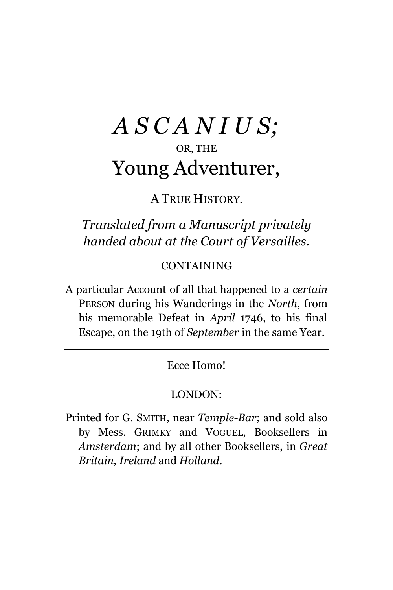## *A S C A N I U S;* OR, THE Young Adventurer,

A TRUE HISTORY.

*Translated from a Manuscript privately handed about at the Court of Versailles.*

CONTAINING

A particular Account of all that happened to a *certain* PERSON during his Wanderings in the *North*, from his memorable Defeat in *April* 1746, to his final Escape, on the 19th of *September* in the same Year.

Ecce Homo!

#### LONDON:

Printed for G. SMITH, near *Temple-Bar*; and sold also by Mess. GRIMKY and VOGUEL, Booksellers in *Amsterdam*; and by all other Booksellers, in *Great Britain, Ireland* and *Holland*.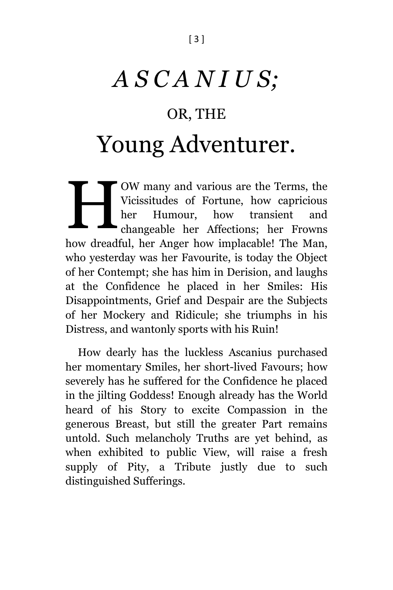# *A S C A N I U S;* OR, THE Young Adventurer.

OW many and various are the Terms, the Vicissitudes of Fortune, how capricious her Humour, how transient and changeable her Affections; her Frowns how dreadful, her Anger how implacable! The Man, who yesterday was her Favourite, is today the Object of her Contempt; she has him in Derision, and laughs at the Confidence he placed in her Smiles: His Disappointments, Grief and Despair are the Subjects of her Mockery and Ridicule; she triumphs in his Distress, and wantonly sports with his Ruin! H

How dearly has the luckless Ascanius purchased her momentary Smiles, her short-lived Favours; how severely has he suffered for the Confidence he placed in the jilting Goddess! Enough already has the World heard of his Story to excite Compassion in the generous Breast, but still the greater Part remains untold. Such melancholy Truths are yet behind, as when exhibited to public View, will raise a fresh supply of Pity, a Tribute justly due to such distinguished Sufferings.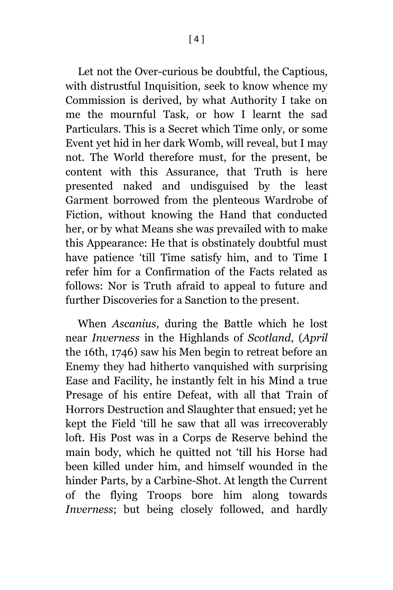Let not the Over-curious be doubtful, the Captious, with distrustful Inquisition, seek to know whence my Commission is derived, by what Authority I take on me the mournful Task, or how I learnt the sad Particulars. This is a Secret which Time only, or some Event yet hid in her dark Womb, will reveal, but I may not. The World therefore must, for the present, be content with this Assurance, that Truth is here presented naked and undisguised by the least Garment borrowed from the plenteous Wardrobe of Fiction, without knowing the Hand that conducted her, or by what Means she was prevailed with to make this Appearance: He that is obstinately doubtful must have patience 'till Time satisfy him, and to Time I refer him for a Confirmation of the Facts related as follows: Nor is Truth afraid to appeal to future and further Discoveries for a Sanction to the present.

When *Ascanius*, during the Battle which he lost near *Inverness* in the Highlands of *Scotland*, (*April* the 16th, 1746) saw his Men begin to retreat before an Enemy they had hitherto vanquished with surprising Ease and Facility, he instantly felt in his Mind a true Presage of his entire Defeat, with all that Train of Horrors Destruction and Slaughter that ensued; yet he kept the Field 'till he saw that all was irrecoverably loft. His Post was in a Corps de Reserve behind the main body, which he quitted not 'till his Horse had been killed under him, and himself wounded in the hinder Parts, by a Carbine-Shot. At length the Current of the flying Troops bore him along towards *Inverness*; but being closely followed, and hardly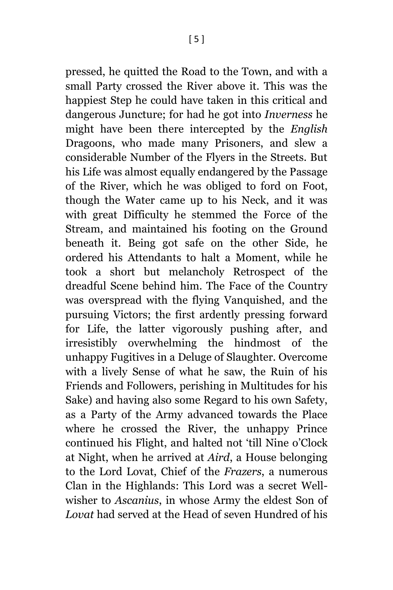pressed, he quitted the Road to the Town, and with a small Party crossed the River above it. This was the happiest Step he could have taken in this critical and dangerous Juncture; for had he got into *Inverness* he might have been there intercepted by the *English* Dragoons, who made many Prisoners, and slew a considerable Number of the Flyers in the Streets. But his Life was almost equally endangered by the Passage of the River, which he was obliged to ford on Foot, though the Water came up to his Neck, and it was with great Difficulty he stemmed the Force of the Stream, and maintained his footing on the Ground beneath it. Being got safe on the other Side, he ordered his Attendants to halt a Moment, while he took a short but melancholy Retrospect of the dreadful Scene behind him. The Face of the Country was overspread with the flying Vanquished, and the pursuing Victors; the first ardently pressing forward for Life, the latter vigorously pushing after, and irresistibly overwhelming the hindmost of the unhappy Fugitives in a Deluge of Slaughter. Overcome with a lively Sense of what he saw, the Ruin of his Friends and Followers, perishing in Multitudes for his Sake) and having also some Regard to his own Safety, as a Party of the Army advanced towards the Place where he crossed the River, the unhappy Prince continued his Flight, and halted not 'till Nine o'Clock at Night, when he arrived at *Aird*, a House belonging to the Lord Lovat, Chief of the *Frazers*, a numerous Clan in the Highlands: This Lord was a secret Wellwisher to *Ascanius*, in whose Army the eldest Son of *Lovat* had served at the Head of seven Hundred of his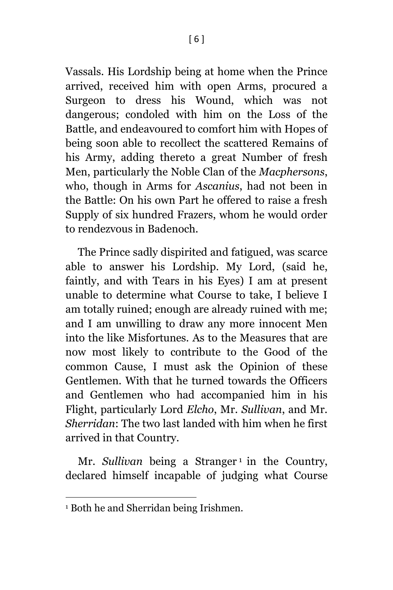Vassals. His Lordship being at home when the Prince arrived, received him with open Arms, procured a Surgeon to dress his Wound, which was not dangerous; condoled with him on the Loss of the Battle, and endeavoured to comfort him with Hopes of being soon able to recollect the scattered Remains of his Army, adding thereto a great Number of fresh Men, particularly the Noble Clan of the *Macphersons*, who, though in Arms for *Ascanius*, had not been in the Battle: On his own Part he offered to raise a fresh Supply of six hundred Frazers, whom he would order to rendezvous in Badenoch.

The Prince sadly dispirited and fatigued, was scarce able to answer his Lordship. My Lord, (said he, faintly, and with Tears in his Eyes) I am at present unable to determine what Course to take, I believe I am totally ruined; enough are already ruined with me; and I am unwilling to draw any more innocent Men into the like Misfortunes. As to the Measures that are now most likely to contribute to the Good of the common Cause, I must ask the Opinion of these Gentlemen. With that he turned towards the Officers and Gentlemen who had accompanied him in his Flight, particularly Lord *Elcho*, Mr. *Sullivan*, and Mr. *Sherridan*: The two last landed with him when he first arrived in that Country.

Mr. *Sullivan* being a Stranger<sup>1</sup> in the Country, declared himself incapable of judging what Course

l

<sup>1</sup> Both he and Sherridan being Irishmen.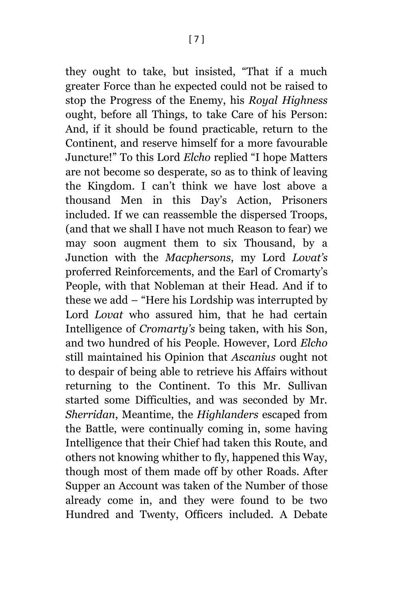they ought to take, but insisted, "That if a much greater Force than he expected could not be raised to stop the Progress of the Enemy, his *Royal Highness* ought, before all Things, to take Care of his Person: And, if it should be found practicable, return to the Continent, and reserve himself for a more favourable Juncture!" To this Lord *Elcho* replied "I hope Matters are not become so desperate, so as to think of leaving the Kingdom. I can't think we have lost above a thousand Men in this Day's Action, Prisoners included. If we can reassemble the dispersed Troops, (and that we shall I have not much Reason to fear) we may soon augment them to six Thousand, by a Junction with the *Macphersons*, my Lord *Lovat's* proferred Reinforcements, and the Earl of Cromarty's People, with that Nobleman at their Head. And if to these we add – "Here his Lordship was interrupted by Lord *Lovat* who assured him, that he had certain Intelligence of *Cromarty's* being taken, with his Son, and two hundred of his People. However, Lord *Elcho* still maintained his Opinion that *Ascanius* ought not to despair of being able to retrieve his Affairs without returning to the Continent. To this Mr. Sullivan started some Difficulties, and was seconded by Mr. *Sherridan*, Meantime, the *Highlanders* escaped from the Battle, were continually coming in, some having Intelligence that their Chief had taken this Route, and others not knowing whither to fly, happened this Way, though most of them made off by other Roads. After Supper an Account was taken of the Number of those already come in, and they were found to be two Hundred and Twenty, Officers included. A Debate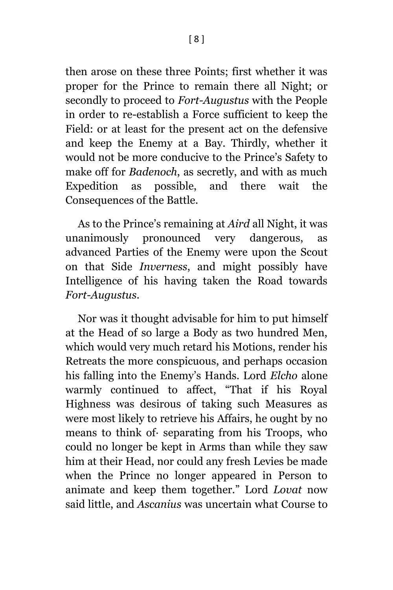then arose on these three Points; first whether it was proper for the Prince to remain there all Night; or secondly to proceed to *Fort-Augustus* with the People in order to re-establish a Force sufficient to keep the Field: or at least for the present act on the defensive and keep the Enemy at a Bay. Thirdly, whether it would not be more conducive to the Prince's Safety to make off for *Badenoch*, as secretly, and with as much Expedition as possible, and there wait the Consequences of the Battle.

As to the Prince's remaining at *Aird* all Night, it was unanimously pronounced very dangerous, as advanced Parties of the Enemy were upon the Scout on that Side *Inverness*, and might possibly have Intelligence of his having taken the Road towards *Fort-Augustus*.

Nor was it thought advisable for him to put himself at the Head of so large a Body as two hundred Men, which would very much retard his Motions, render his Retreats the more conspicuous, and perhaps occasion his falling into the Enemy's Hands. Lord *Elcho* alone warmly continued to affect, "That if his Royal Highness was desirous of taking such Measures as were most likely to retrieve his Affairs, he ought by no means to think of· separating from his Troops, who could no longer be kept in Arms than while they saw him at their Head, nor could any fresh Levies be made when the Prince no longer appeared in Person to animate and keep them together." Lord *Lovat* now said little, and *Ascanius* was uncertain what Course to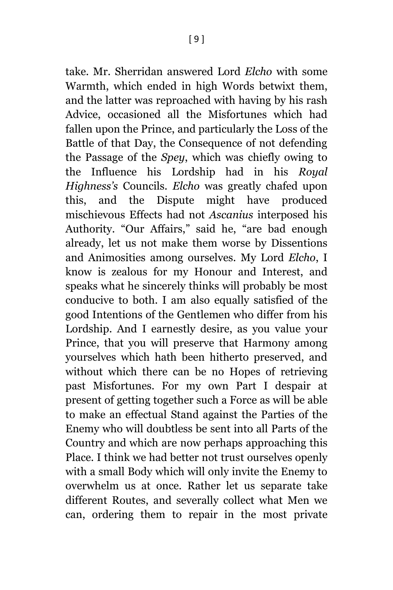take. Mr. Sherridan answered Lord *Elcho* with some Warmth, which ended in high Words betwixt them, and the latter was reproached with having by his rash Advice, occasioned all the Misfortunes which had fallen upon the Prince, and particularly the Loss of the Battle of that Day, the Consequence of not defending the Passage of the *Spey*, which was chiefly owing to the Influence his Lordship had in his *Royal Highness's* Councils. *Elcho* was greatly chafed upon this, and the Dispute might have produced mischievous Effects had not *Ascanius* interposed his Authority. "Our Affairs," said he, "are bad enough already, let us not make them worse by Dissentions and Animosities among ourselves. My Lord *Elcho*, I know is zealous for my Honour and Interest, and speaks what he sincerely thinks will probably be most conducive to both. I am also equally satisfied of the good Intentions of the Gentlemen who differ from his Lordship. And I earnestly desire, as you value your Prince, that you will preserve that Harmony among yourselves which hath been hitherto preserved, and without which there can be no Hopes of retrieving past Misfortunes. For my own Part I despair at present of getting together such a Force as will be able to make an effectual Stand against the Parties of the Enemy who will doubtless be sent into all Parts of the Country and which are now perhaps approaching this Place. I think we had better not trust ourselves openly with a small Body which will only invite the Enemy to overwhelm us at once. Rather let us separate take different Routes, and severally collect what Men we can, ordering them to repair in the most private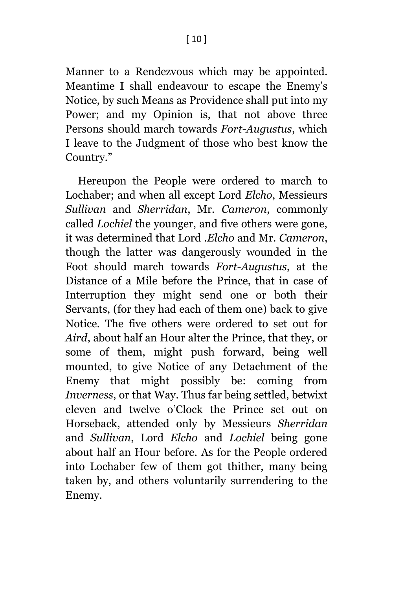Manner to a Rendezvous which may be appointed. Meantime I shall endeavour to escape the Enemy's Notice, by such Means as Providence shall put into my Power; and my Opinion is, that not above three Persons should march towards *Fort-Augustus*, which I leave to the Judgment of those who best know the Country."

Hereupon the People were ordered to march to Lochaber; and when all except Lord *Elcho*, Messieurs *Sullivan* and *Sherridan*, Mr. *Cameron*, commonly called *Lochiel* the younger, and five others were gone, it was determined that Lord .*Elcho* and Mr. *Cameron*, though the latter was dangerously wounded in the Foot should march towards *Fort-Augustus*, at the Distance of a Mile before the Prince, that in case of Interruption they might send one or both their Servants, (for they had each of them one) back to give Notice. The five others were ordered to set out for *Aird*, about half an Hour alter the Prince, that they, or some of them, might push forward, being well mounted, to give Notice of any Detachment of the Enemy that might possibly be: coming from *Inverness*, or that Way. Thus far being settled, betwixt eleven and twelve o'Clock the Prince set out on Horseback, attended only by Messieurs *Sherridan* and *Sullivan*, Lord *Elcho* and *Lochiel* being gone about half an Hour before. As for the People ordered into Lochaber few of them got thither, many being taken by, and others voluntarily surrendering to the Enemy.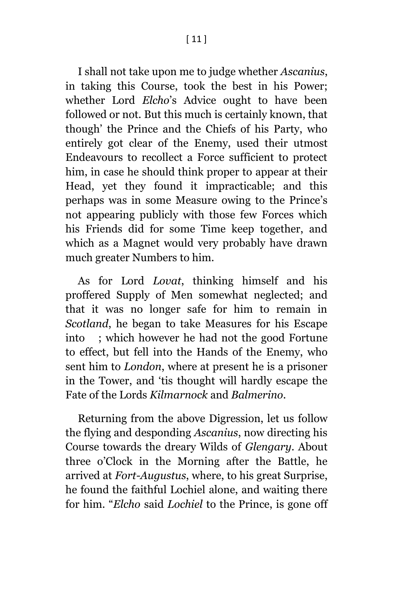I shall not take upon me to judge whether *Ascanius*, in taking this Course, took the best in his Power; whether Lord *Elcho*'s Advice ought to have been followed or not. But this much is certainly known, that though' the Prince and the Chiefs of his Party, who entirely got clear of the Enemy, used their utmost Endeavours to recollect a Force sufficient to protect him, in case he should think proper to appear at their Head, yet they found it impracticable; and this perhaps was in some Measure owing to the Prince's not appearing publicly with those few Forces which his Friends did for some Time keep together, and which as a Magnet would very probably have drawn much greater Numbers to him.

As for Lord *Lovat*, thinking himself and his proffered Supply of Men somewhat neglected; and that it was no longer safe for him to remain in *Scotland*, he began to take Measures for his Escape into ; which however he had not the good Fortune to effect, but fell into the Hands of the Enemy, who sent him to *London*, where at present he is a prisoner in the Tower, and 'tis thought will hardly escape the Fate of the Lords *Kilmarnock* and *Balmerino*.

Returning from the above Digression, let us follow the flying and desponding *Ascanius*, now directing his Course towards the dreary Wilds of *Glengary*. About three o'Clock in the Morning after the Battle, he arrived at *Fort-Augustus*, where, to his great Surprise, he found the faithful Lochiel alone, and waiting there for him. "*Elcho* said *Lochiel* to the Prince, is gone off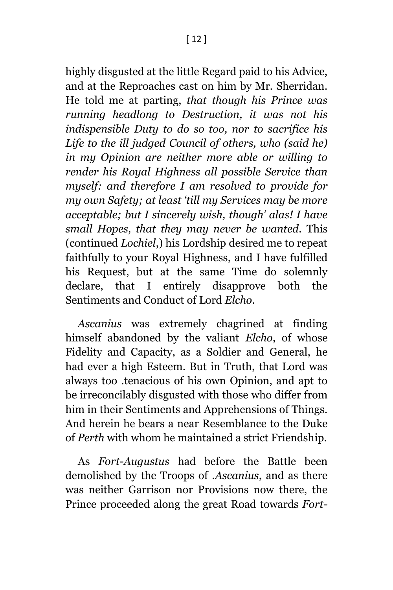highly disgusted at the little Regard paid to his Advice, and at the Reproaches cast on him by Mr. Sherridan. He told me at parting, *that though his Prince was running headlong to Destruction, it was not his indispensible Duty to do so too, nor to sacrifice his Life to the ill judged Council of others, who (said he) in my Opinion are neither more able or willing to render his Royal Highness all possible Service than myself: and therefore I am resolved to provide for my own Safety; at least 'till my Services may be more acceptable; but I sincerely wish, though' alas! I have small Hopes, that they may never be wanted.* This (continued *Lochiel*,) his Lordship desired me to repeat faithfully to your Royal Highness, and I have fulfilled his Request, but at the same Time do solemnly declare, that I entirely disapprove both the Sentiments and Conduct of Lord *Elcho*.

*Ascanius* was extremely chagrined at finding himself abandoned by the valiant *Elcho*, of whose Fidelity and Capacity, as a Soldier and General, he had ever a high Esteem. But in Truth, that Lord was always too .tenacious of his own Opinion, and apt to be irreconcilably disgusted with those who differ from him in their Sentiments and Apprehensions of Things. And herein he bears a near Resemblance to the Duke of *Perth* with whom he maintained a strict Friendship.

As *Fort-Augustus* had before the Battle been demolished by the Troops of .*Ascanius*, and as there was neither Garrison nor Provisions now there, the Prince proceeded along the great Road towards *Fort-*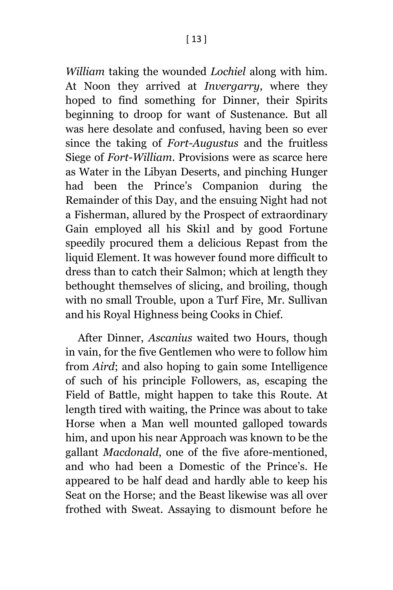*William* taking the wounded *Lochiel* along with him. At Noon they arrived at *Invergarry*, where they hoped to find something for Dinner, their Spirits beginning to droop for want of Sustenance. But all was here desolate and confused, having been so ever since the taking of *Fort-Augustus* and the fruitless Siege of *Fort-William*. Provisions were as scarce here as Water in the Libyan Deserts, and pinching Hunger had been the Prince's Companion during the Remainder of this Day, and the ensuing Night had not a Fisherman, allured by the Prospect of extraordinary Gain employed all his Ski1l and by good Fortune speedily procured them a delicious Repast from the liquid Element. It was however found more difficult to dress than to catch their Salmon; which at length they bethought themselves of slicing, and broiling, though with no small Trouble, upon a Turf Fire, Mr. Sullivan and his Royal Highness being Cooks in Chief.

After Dinner, *Ascanius* waited two Hours, though in vain, for the five Gentlemen who were to follow him from *Aird*; and also hoping to gain some Intelligence of such of his principle Followers, as, escaping the Field of Battle, might happen to take this Route. At length tired with waiting, the Prince was about to take Horse when a Man well mounted galloped towards him, and upon his near Approach was known to be the gallant *Macdonald*, one of the five afore-mentioned, and who had been a Domestic of the Prince's. He appeared to be half dead and hardly able to keep his Seat on the Horse; and the Beast likewise was all over frothed with Sweat. Assaying to dismount before he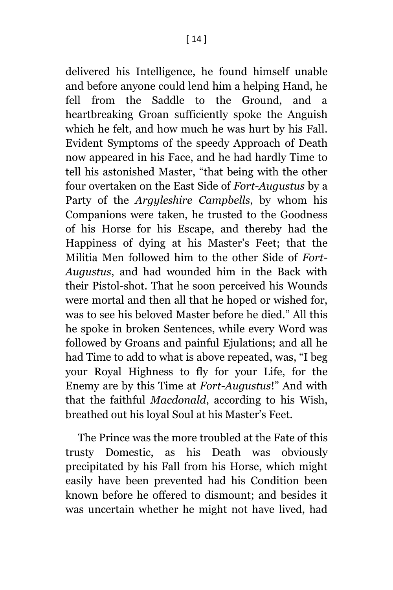delivered his Intelligence, he found himself unable and before anyone could lend him a helping Hand, he fell from the Saddle to the Ground, and a heartbreaking Groan sufficiently spoke the Anguish which he felt, and how much he was hurt by his Fall. Evident Symptoms of the speedy Approach of Death now appeared in his Face, and he had hardly Time to tell his astonished Master, "that being with the other four overtaken on the East Side of *Fort-Augustus* by a Party of the *Argyleshire Campbells*, by whom his Companions were taken, he trusted to the Goodness of his Horse for his Escape, and thereby had the Happiness of dying at his Master's Feet; that the Militia Men followed him to the other Side of *Fort-Augustus*, and had wounded him in the Back with their Pistol-shot. That he soon perceived his Wounds were mortal and then all that he hoped or wished for, was to see his beloved Master before he died." All this he spoke in broken Sentences, while every Word was followed by Groans and painful Ejulations; and all he had Time to add to what is above repeated, was, "I beg your Royal Highness to fly for your Life, for the Enemy are by this Time at *Fort-Augustus*!" And with that the faithful *Macdonald*, according to his Wish, breathed out his loyal Soul at his Master's Feet.

The Prince was the more troubled at the Fate of this trusty Domestic, as his Death was obviously precipitated by his Fall from his Horse, which might easily have been prevented had his Condition been known before he offered to dismount; and besides it was uncertain whether he might not have lived, had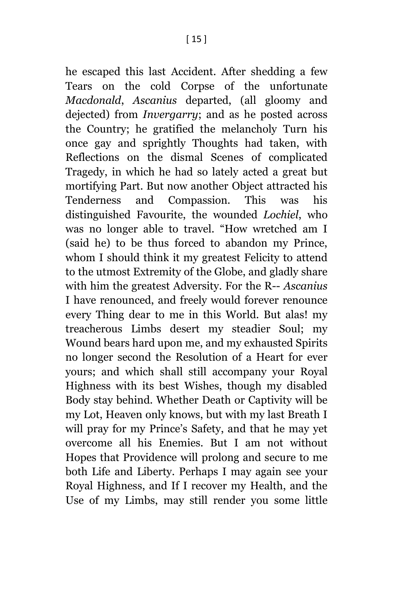he escaped this last Accident. After shedding a few Tears on the cold Corpse of the unfortunate *Macdonald*, *Ascanius* departed, (all gloomy and dejected) from *Invergarry*; and as he posted across the Country; he gratified the melancholy Turn his once gay and sprightly Thoughts had taken, with Reflections on the dismal Scenes of complicated Tragedy, in which he had so lately acted a great but mortifying Part. But now another Object attracted his Tenderness and Compassion. This was his distinguished Favourite, the wounded *Lochiel*, who was no longer able to travel. "How wretched am I (said he) to be thus forced to abandon my Prince, whom I should think it my greatest Felicity to attend to the utmost Extremity of the Globe, and gladly share with him the greatest Adversity. For the R-- *Ascanius* I have renounced, and freely would forever renounce every Thing dear to me in this World. But alas! my treacherous Limbs desert my steadier Soul; my Wound bears hard upon me, and my exhausted Spirits no longer second the Resolution of a Heart for ever yours; and which shall still accompany your Royal Highness with its best Wishes, though my disabled Body stay behind. Whether Death or Captivity will be my Lot, Heaven only knows, but with my last Breath I will pray for my Prince's Safety, and that he may yet overcome all his Enemies. But I am not without Hopes that Providence will prolong and secure to me both Life and Liberty. Perhaps I may again see your Royal Highness, and If I recover my Health, and the Use of my Limbs, may still render you some little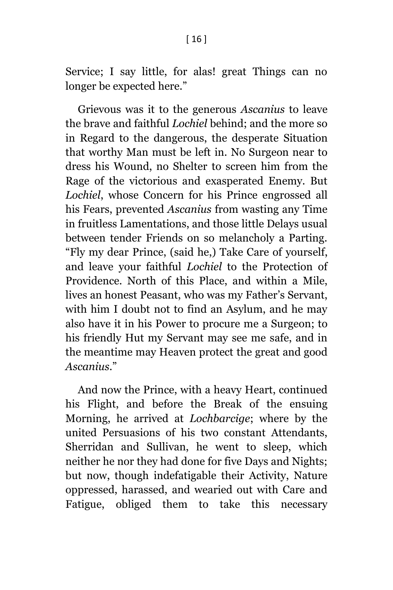Service; I say little, for alas! great Things can no longer be expected here."

Grievous was it to the generous *Ascanius* to leave the brave and faithful *Lochiel* behind; and the more so in Regard to the dangerous, the desperate Situation that worthy Man must be left in. No Surgeon near to dress his Wound, no Shelter to screen him from the Rage of the victorious and exasperated Enemy. But *Lochiel*, whose Concern for his Prince engrossed all his Fears, prevented *Ascanius* from wasting any Time in fruitless Lamentations, and those little Delays usual between tender Friends on so melancholy a Parting. "Fly my dear Prince, (said he,) Take Care of yourself, and leave your faithful *Lochiel* to the Protection of Providence. North of this Place, and within a Mile, lives an honest Peasant, who was my Father's Servant, with him I doubt not to find an Asylum, and he may also have it in his Power to procure me a Surgeon; to his friendly Hut my Servant may see me safe, and in the meantime may Heaven protect the great and good *Ascanius*."

And now the Prince, with a heavy Heart, continued his Flight, and before the Break of the ensuing Morning, he arrived at *Lochbarcige*; where by the united Persuasions of his two constant Attendants, Sherridan and Sullivan, he went to sleep, which neither he nor they had done for five Days and Nights; but now, though indefatigable their Activity, Nature oppressed, harassed, and wearied out with Care and Fatigue, obliged them to take this necessary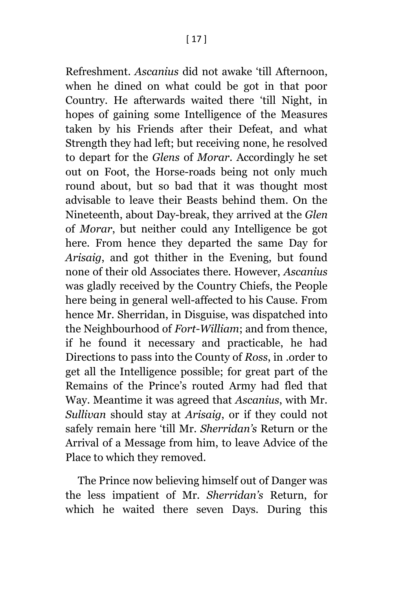Refreshment. *Ascanius* did not awake 'till Afternoon, when he dined on what could be got in that poor Country. He afterwards waited there 'till Night, in hopes of gaining some Intelligence of the Measures taken by his Friends after their Defeat, and what Strength they had left; but receiving none, he resolved to depart for the *Glens* of *Morar*. Accordingly he set out on Foot, the Horse-roads being not only much round about, but so bad that it was thought most advisable to leave their Beasts behind them. On the Nineteenth, about Day-break, they arrived at the *Glen* of *Morar*, but neither could any Intelligence be got here. From hence they departed the same Day for *Arisaig*, and got thither in the Evening, but found none of their old Associates there. However, *Ascanius* was gladly received by the Country Chiefs, the People here being in general well-affected to his Cause. From hence Mr. Sherridan, in Disguise, was dispatched into the Neighbourhood of *Fort-William*; and from thence, if he found it necessary and practicable, he had Directions to pass into the County of *Ross*, in .order to get all the Intelligence possible; for great part of the Remains of the Prince's routed Army had fled that Way. Meantime it was agreed that *Ascanius*, with Mr. *Sullivan* should stay at *Arisaig*, or if they could not safely remain here 'till Mr. *Sherridan's* Return or the Arrival of a Message from him, to leave Advice of the Place to which they removed.

The Prince now believing himself out of Danger was the less impatient of Mr. *Sherridan's* Return, for which he waited there seven Days. During this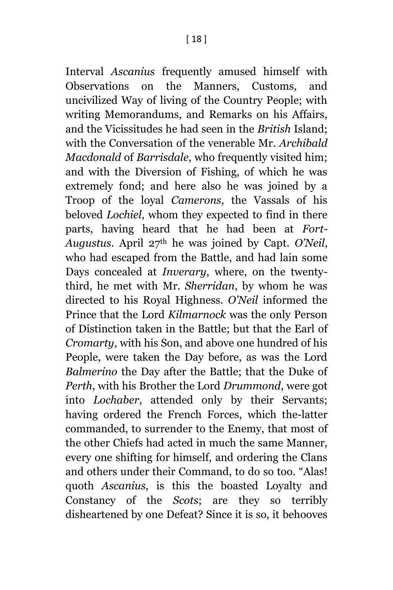Interval *Ascanius* frequently amused himself with Observations on the Manners, Customs, and uncivilized Way of living of the Country People; with writing Memorandums, and Remarks on his Affairs, and the Vicissitudes he had seen in the *British* Island; with the Conversation of the venerable Mr. *Archibald Macdonald* of *Barrisdale*, who frequently visited him; and with the Diversion of Fishing, of which he was extremely fond; and here also he was joined by a Troop of the loyal *Camerons*, the Vassals of his beloved *Lochiel*, whom they expected to find in there parts, having heard that he had been at *Fort-Augustus*. April 27th he was joined by Capt. *O'Neil*, who had escaped from the Battle, and had lain some Days concealed at *Inverary*, where, on the twentythird, he met with Mr. *Sherridan*, by whom he was directed to his Royal Highness. *O'Neil* informed the Prince that the Lord *Kilmarnock* was the only Person of Distinction taken in the Battle; but that the Earl of *Cromarty*, with his Son, and above one hundred of his People, were taken the Day before, as was the Lord *Balmerino* the Day after the Battle; that the Duke of *Perth*, with his Brother the Lord *Drummond*, were got into *Lochaber*, attended only by their Servants; having ordered the French Forces, which the-latter commanded, to surrender to the Enemy, that most of the other Chiefs had acted in much the same Manner, every one shifting for himself, and ordering the Clans and others under their Command, to do so too. "Alas! quoth *Ascanius*, is this the boasted Loyalty and Constancy of the *Scots*; are they so terribly disheartened by one Defeat? Since it is so, it behooves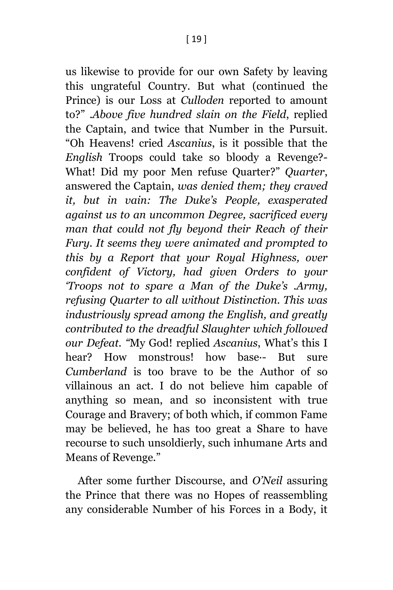us likewise to provide for our own Safety by leaving this ungrateful Country. But what (continued the Prince) is our Loss at *Culloden* reported to amount to?" .*Above five hundred slain on the Field*, replied the Captain, and twice that Number in the Pursuit. "Oh Heavens! cried *Ascanius*, is it possible that the *English* Troops could take so bloody a Revenge?- What! Did my poor Men refuse Quarter?" *Quarter*, answered the Captain, *was denied them; they craved it, but in vain: The Duke's People, exasperated against us to an uncommon Degree, sacrificed every man that could not fly beyond their Reach of their Fury. It seems they were animated and prompted to this by a Report that your Royal Highness, over confident of Victory, had given Orders to your 'Troops not to spare a Man of the Duke's .Army, refusing Quarter to all without Distinction. This was industriously spread among the English, and greatly contributed to the dreadful Slaughter which followed our Defeat. "*My God! replied *Ascanius*, What's this I hear? How monstrous! how base·- But sure *Cumberland* is too brave to be the Author of so villainous an act. I do not believe him capable of anything so mean, and so inconsistent with true Courage and Bravery; of both which, if common Fame may be believed, he has too great a Share to have recourse to such unsoldierly, such inhumane Arts and Means of Revenge."

After some further Discourse, and *O'Neil* assuring the Prince that there was no Hopes of reassembling any considerable Number of his Forces in a Body, it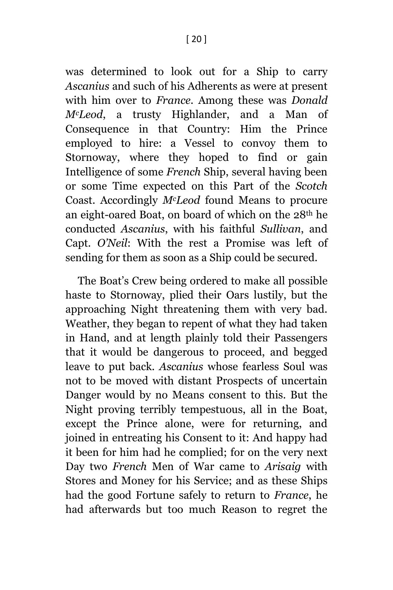was determined to look out for a Ship to carry *Ascanius* and such of his Adherents as were at present with him over to *France*. Among these was *Donald McLeod*, a trusty Highlander, and a Man of Consequence in that Country: Him the Prince employed to hire: a Vessel to convoy them to Stornoway, where they hoped to find or gain Intelligence of some *French* Ship, several having been or some Time expected on this Part of the *Scotch* Coast. Accordingly *McLeod* found Means to procure an eight-oared Boat, on board of which on the 28th he conducted *Ascanius*, with his faithful *Sullivan*, and Capt. *O'Neil*: With the rest a Promise was left of sending for them as soon as a Ship could be secured.

The Boat's Crew being ordered to make all possible haste to Stornoway, plied their Oars lustily, but the approaching Night threatening them with very bad. Weather, they began to repent of what they had taken in Hand, and at length plainly told their Passengers that it would be dangerous to proceed, and begged leave to put back. *Ascanius* whose fearless Soul was not to be moved with distant Prospects of uncertain Danger would by no Means consent to this. But the Night proving terribly tempestuous, all in the Boat, except the Prince alone, were for returning, and joined in entreating his Consent to it: And happy had it been for him had he complied; for on the very next Day two *French* Men of War came to *Arisaig* with Stores and Money for his Service; and as these Ships had the good Fortune safely to return to *France*, he had afterwards but too much Reason to regret the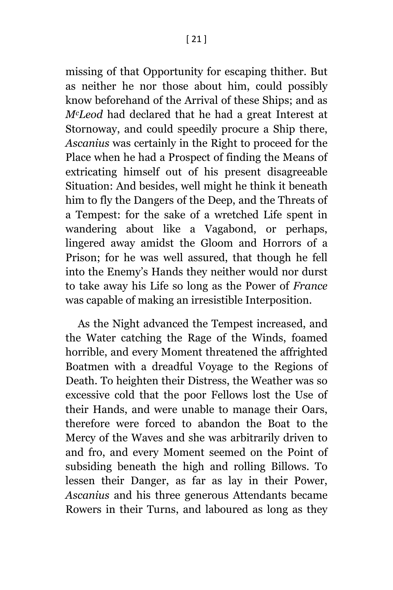missing of that Opportunity for escaping thither. But as neither he nor those about him, could possibly know beforehand of the Arrival of these Ships; and as *McLeod* had declared that he had a great Interest at Stornoway, and could speedily procure a Ship there, *Ascanius* was certainly in the Right to proceed for the Place when he had a Prospect of finding the Means of extricating himself out of his present disagreeable Situation: And besides, well might he think it beneath him to fly the Dangers of the Deep, and the Threats of a Tempest: for the sake of a wretched Life spent in wandering about like a Vagabond, or perhaps, lingered away amidst the Gloom and Horrors of a Prison; for he was well assured, that though he fell into the Enemy's Hands they neither would nor durst to take away his Life so long as the Power of *France*  was capable of making an irresistible Interposition.

As the Night advanced the Tempest increased, and the Water catching the Rage of the Winds, foamed horrible, and every Moment threatened the affrighted Boatmen with a dreadful Voyage to the Regions of Death. To heighten their Distress, the Weather was so excessive cold that the poor Fellows lost the Use of their Hands, and were unable to manage their Oars, therefore were forced to abandon the Boat to the Mercy of the Waves and she was arbitrarily driven to and fro, and every Moment seemed on the Point of subsiding beneath the high and rolling Billows. To lessen their Danger, as far as lay in their Power, *Ascanius* and his three generous Attendants became Rowers in their Turns, and laboured as long as they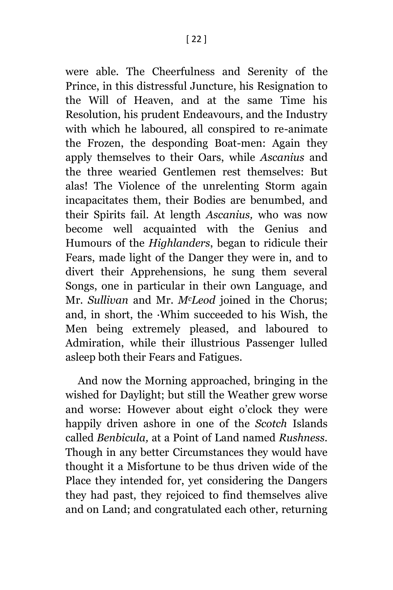were able. The Cheerfulness and Serenity of the Prince, in this distressful Juncture, his Resignation to the Will of Heaven, and at the same Time his Resolution, his prudent Endeavours, and the Industry with which he laboured, all conspired to re-animate the Frozen, the desponding Boat-men: Again they apply themselves to their Oars, while *Ascanius* and the three wearied Gentlemen rest themselves: But alas! The Violence of the unrelenting Storm again incapacitates them, their Bodies are benumbed, and their Spirits fail. At length *Ascanius,* who was now become well acquainted with the Genius and Humours of the *Highlanders*, began to ridicule their Fears, made light of the Danger they were in, and to divert their Apprehensions, he sung them several Songs, one in particular in their own Language, and Mr. *Sullivan* and Mr. *McLeod* joined in the Chorus; and, in short, the ·Whim succeeded to his Wish, the Men being extremely pleased, and laboured to Admiration, while their illustrious Passenger lulled asleep both their Fears and Fatigues.

And now the Morning approached, bringing in the wished for Daylight; but still the Weather grew worse and worse: However about eight o'clock they were happily driven ashore in one of the *Scotch* Islands called *Benbicula,* at a Point of Land named *Rushness.*  Though in any better Circumstances they would have thought it a Misfortune to be thus driven wide of the Place they intended for, yet considering the Dangers they had past, they rejoiced to find themselves alive and on Land; and congratulated each other, returning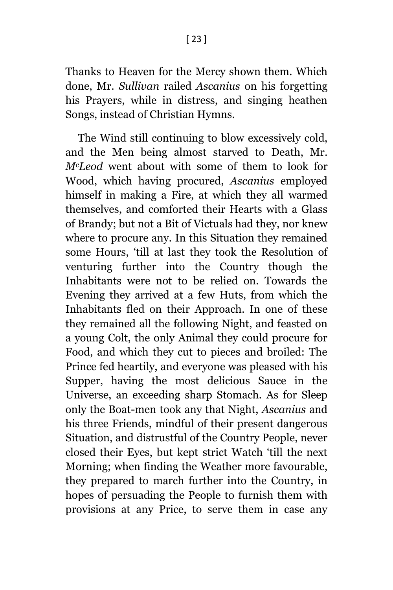Thanks to Heaven for the Mercy shown them. Which done, Mr. *Sullivan* railed *Ascanius* on his forgetting his Prayers, while in distress, and singing heathen Songs, instead of Christian Hymns.

The Wind still continuing to blow excessively cold, and the Men being almost starved to Death, Mr. *McLeod* went about with some of them to look for Wood, which having procured, *Ascanius* employed himself in making a Fire, at which they all warmed themselves, and comforted their Hearts with a Glass of Brandy; but not a Bit of Victuals had they, nor knew where to procure any. In this Situation they remained some Hours, 'till at last they took the Resolution of venturing further into the Country though the Inhabitants were not to be relied on. Towards the Evening they arrived at a few Huts, from which the Inhabitants fled on their Approach. In one of these they remained all the following Night, and feasted on a young Colt, the only Animal they could procure for Food, and which they cut to pieces and broiled: The Prince fed heartily, and everyone was pleased with his Supper, having the most delicious Sauce in the Universe, an exceeding sharp Stomach. As for Sleep only the Boat-men took any that Night, *Ascanius* and his three Friends, mindful of their present dangerous Situation, and distrustful of the Country People, never closed their Eyes, but kept strict Watch 'till the next Morning; when finding the Weather more favourable, they prepared to march further into the Country, in hopes of persuading the People to furnish them with provisions at any Price, to serve them in case any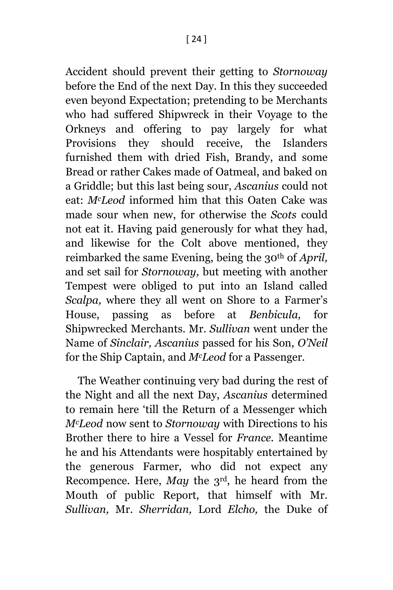Accident should prevent their getting to *Stornoway*  before the End of the next Day. In this they succeeded even beyond Expectation; pretending to be Merchants who had suffered Shipwreck in their Voyage to the Orkneys and offering to pay largely for what Provisions they should receive, the Islanders furnished them with dried Fish, Brandy, and some Bread or rather Cakes made of Oatmeal, and baked on a Griddle; but this last being sour, *Ascanius* could not eat: *McLeod* informed him that this Oaten Cake was made sour when new, for otherwise the *Scots* could not eat it. Having paid generously for what they had, and likewise for the Colt above mentioned, they reimbarked the same Evening, being the 30th of *April,*  and set sail for *Stornoway,* but meeting with another Tempest were obliged to put into an Island called *Scalpa,* where they all went on Shore to a Farmer's House, passing as before at *Benbicula,* for Shipwrecked Merchants. Mr. *Sullivan* went under the Name of *Sinclair, Ascanius* passed for his Son, *O'Neil*  for the Ship Captain, and *McLeod* for a Passenger.

The Weather continuing very bad during the rest of the Night and all the next Day, *Ascanius* determined to remain here 'till the Return of a Messenger which *McLeod* now sent to *Stornoway* with Directions to his Brother there to hire a Vessel for *France.* Meantime he and his Attendants were hospitably entertained by the generous Farmer, who did not expect any Recompence. Here, *May* the 3rd, he heard from the Mouth of public Report, that himself with Mr. *Sullivan,* Mr. *Sherridan,* Lord *Elcho,* the Duke of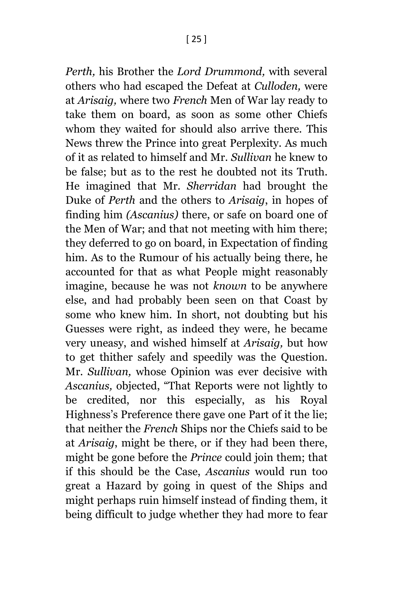*Perth,* his Brother the *Lord Drummond,* with several others who had escaped the Defeat at *Culloden,* were at *Arisaig,* where two *French* Men of War lay ready to take them on board, as soon as some other Chiefs whom they waited for should also arrive there. This News threw the Prince into great Perplexity. As much of it as related to himself and Mr. *Sullivan* he knew to be false; but as to the rest he doubted not its Truth. He imagined that Mr. *Sherridan* had brought the Duke of *Perth* and the others to *Arisaig*, in hopes of finding him *(Ascanius)* there, or safe on board one of the Men of War; and that not meeting with him there; they deferred to go on board, in Expectation of finding him. As to the Rumour of his actually being there, he accounted for that as what People might reasonably imagine, because he was not *known* to be anywhere else, and had probably been seen on that Coast by some who knew him. In short, not doubting but his Guesses were right, as indeed they were, he became very uneasy, and wished himself at *Arisaig,* but how to get thither safely and speedily was the Question. Mr. *Sullivan,* whose Opinion was ever decisive with *Ascanius,* objected, "That Reports were not lightly to be credited, nor this especially, as his Royal Highness's Preference there gave one Part of it the lie; that neither the *French* Ships nor the Chiefs said to be at *Arisaig*, might be there, or if they had been there, might be gone before the *Prince* could join them; that if this should be the Case, *Ascanius* would run too great a Hazard by going in quest of the Ships and might perhaps ruin himself instead of finding them, it being difficult to judge whether they had more to fear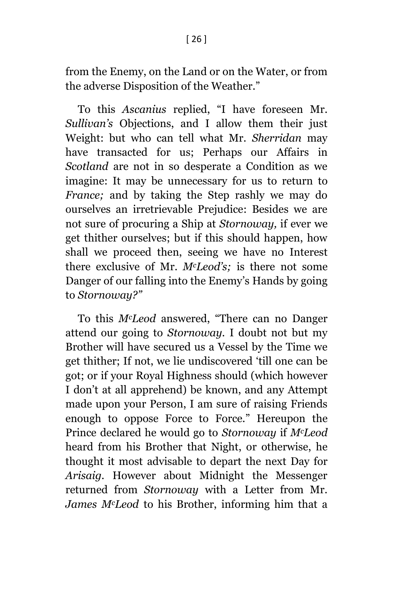from the Enemy, on the Land or on the Water, or from the adverse Disposition of the Weather."

To this *Ascanius* replied, "I have foreseen Mr. *Sullivan's* Objections, and I allow them their just Weight: but who can tell what Mr. *Sherridan* may have transacted for us; Perhaps our Affairs in *Scotland* are not in so desperate a Condition as we imagine: It may be unnecessary for us to return to *France;* and by taking the Step rashly we may do ourselves an irretrievable Prejudice: Besides we are not sure of procuring a Ship at *Stornoway,* if ever we get thither ourselves; but if this should happen, how shall we proceed then, seeing we have no Interest there exclusive of Mr. *McLeod's;* is there not some Danger of our falling into the Enemy's Hands by going to *Stornoway?"*

To this *McLeod* answered, "There can no Danger attend our going to *Stornoway.* I doubt not but my Brother will have secured us a Vessel by the Time we get thither; If not, we lie undiscovered 'till one can be got; or if your Royal Highness should (which however I don't at all apprehend) be known, and any Attempt made upon your Person, I am sure of raising Friends enough to oppose Force to Force." Hereupon the Prince declared he would go to *Stornoway* if *McLeod* heard from his Brother that Night, or otherwise, he thought it most advisable to depart the next Day for *Arisaig.* However about Midnight the Messenger returned from *Stornoway* with a Letter from Mr. *James McLeod* to his Brother, informing him that a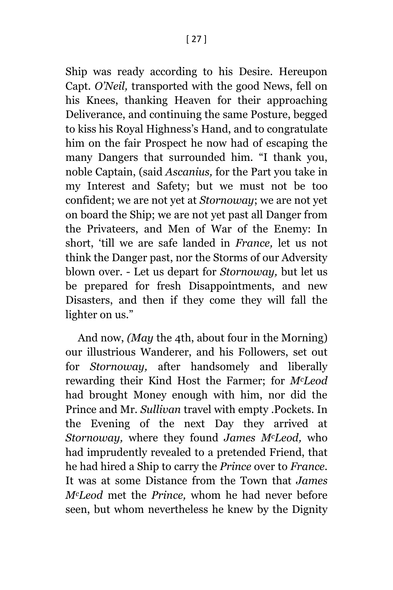Ship was ready according to his Desire. Hereupon Capt. *O'Neil,* transported with the good News, fell on his Knees, thanking Heaven for their approaching Deliverance, and continuing the same Posture, begged to kiss his Royal Highness's Hand, and to congratulate him on the fair Prospect he now had of escaping the many Dangers that surrounded him. "I thank you, noble Captain, (said *Ascanius,* for the Part you take in my Interest and Safety; but we must not be too confident; we are not yet at *Stornoway*; we are not yet on board the Ship; we are not yet past all Danger from the Privateers, and Men of War of the Enemy: In short, 'till we are safe landed in *France,* let us not think the Danger past, nor the Storms of our Adversity blown over. - Let us depart for *Stornoway,* but let us be prepared for fresh Disappointments, and new Disasters, and then if they come they will fall the lighter on us."

And now, *(May* the 4th, about four in the Morning) our illustrious Wanderer, and his Followers, set out for *Stornoway,* after handsomely and liberally rewarding their Kind Host the Farmer; for *McLeod* had brought Money enough with him, nor did the Prince and Mr. *Sullivan* travel with empty .Pockets. In the Evening of the next Day they arrived at *Stornoway,* where they found *James McLeod,* who had imprudently revealed to a pretended Friend, that he had hired a Ship to carry the *Prince* over to *France.*  It was at some Distance from the Town that *James McLeod* met the *Prince,* whom he had never before seen, but whom nevertheless he knew by the Dignity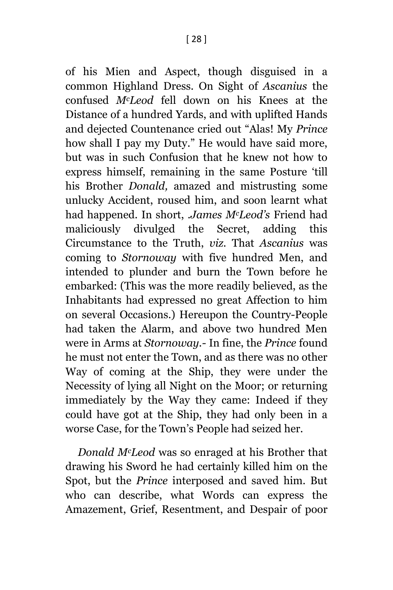of his Mien and Aspect, though disguised in a common Highland Dress. On Sight of *Ascanius* the confused *McLeod* fell down on his Knees at the Distance of a hundred Yards, and with uplifted Hands and dejected Countenance cried out "Alas! My *Prince* how shall I pay my Duty." He would have said more, but was in such Confusion that he knew not how to express himself, remaining in the same Posture 'till his Brother *Donald,* amazed and mistrusting some unlucky Accident, roused him, and soon learnt what had happened. In short, *.James McLeod's* Friend had maliciously divulged the Secret, adding this Circumstance to the Truth, *viz.* That *Ascanius* was coming to *Stornoway* with five hundred Men, and intended to plunder and burn the Town before he embarked: (This was the more readily believed, as the Inhabitants had expressed no great Affection to him on several Occasions.) Hereupon the Country-People had taken the Alarm, and above two hundred Men were in Arms at *Stornoway.-* In fine, the *Prince* found he must not enter the Town, and as there was no other Way of coming at the Ship, they were under the Necessity of lying all Night on the Moor; or returning immediately by the Way they came: Indeed if they could have got at the Ship, they had only been in a worse Case, for the Town's People had seized her.

*Donald McLeod* was so enraged at his Brother that drawing his Sword he had certainly killed him on the Spot, but the *Prince* interposed and saved him. But who can describe, what Words can express the Amazement, Grief, Resentment, and Despair of poor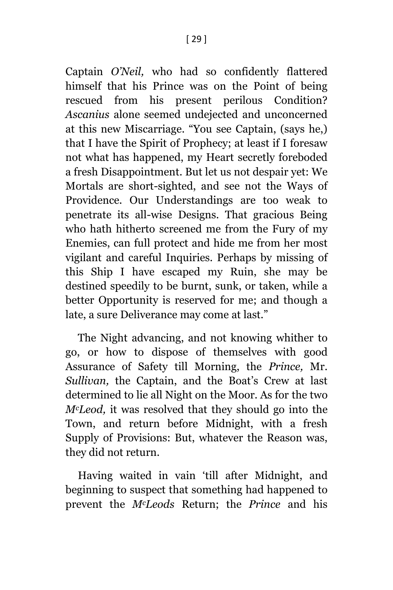Captain *O'Neil,* who had so confidently flattered himself that his Prince was on the Point of being rescued from his present perilous Condition? *Ascanius* alone seemed undejected and unconcerned at this new Miscarriage. "You see Captain, (says he,) that I have the Spirit of Prophecy; at least if I foresaw not what has happened, my Heart secretly foreboded a fresh Disappointment. But let us not despair yet: We Mortals are short-sighted, and see not the Ways of Providence. Our Understandings are too weak to penetrate its all-wise Designs. That gracious Being who hath hitherto screened me from the Fury of my Enemies, can full protect and hide me from her most vigilant and careful Inquiries. Perhaps by missing of this Ship I have escaped my Ruin, she may be destined speedily to be burnt, sunk, or taken, while a better Opportunity is reserved for me; and though a late, a sure Deliverance may come at last."

The Night advancing, and not knowing whither to go, or how to dispose of themselves with good Assurance of Safety till Morning, the *Prince,* Mr. *Sullivan,* the Captain, and the Boat's Crew at last determined to lie all Night on the Moor. As for the two *McLeod,* it was resolved that they should go into the Town, and return before Midnight, with a fresh Supply of Provisions: But, whatever the Reason was, they did not return.

Having waited in vain 'till after Midnight, and beginning to suspect that something had happened to prevent the *McLeods* Return; the *Prince* and his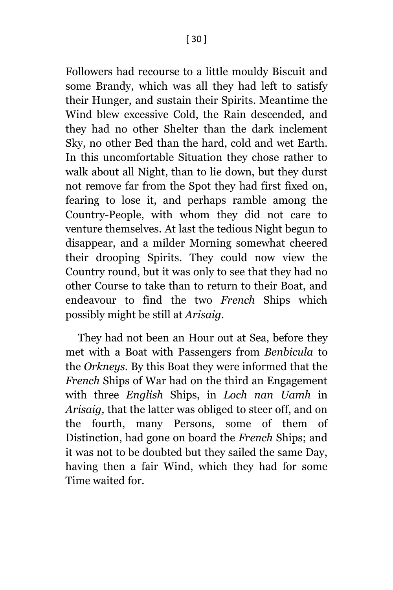Followers had recourse to a little mouldy Biscuit and some Brandy, which was all they had left to satisfy their Hunger, and sustain their Spirits. Meantime the Wind blew excessive Cold, the Rain descended, and they had no other Shelter than the dark inclement Sky, no other Bed than the hard, cold and wet Earth. In this uncomfortable Situation they chose rather to walk about all Night, than to lie down, but they durst not remove far from the Spot they had first fixed on, fearing to lose it, and perhaps ramble among the Country-People, with whom they did not care to venture themselves. At last the tedious Night begun to disappear, and a milder Morning somewhat cheered their drooping Spirits. They could now view the Country round, but it was only to see that they had no other Course to take than to return to their Boat, and endeavour to find the two *French* Ships which possibly might be still at *Arisaig.*

They had not been an Hour out at Sea, before they met with a Boat with Passengers from *Benbicula* to the *Orkneys.* By this Boat they were informed that the *French* Ships of War had on the third an Engagement with three *English* Ships, in *Loch nan Uamh* in *Arisaig,* that the latter was obliged to steer off, and on the fourth, many Persons, some of them of Distinction, had gone on board the *French* Ships; and it was not to be doubted but they sailed the same Day, having then a fair Wind, which they had for some Time waited for.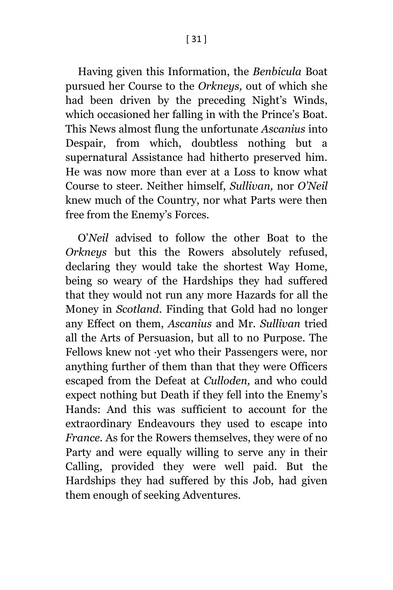Having given this Information, the *Benbicula* Boat pursued her Course to the *Orkneys,* out of which she had been driven by the preceding Night's Winds, which occasioned her falling in with the Prince's Boat. This News almost flung the unfortunate *Ascanius* into Despair, from which, doubtless nothing but a supernatural Assistance had hitherto preserved him. He was now more than ever at a Loss to know what Course to steer. Neither himself, *Sullivan,* nor *O'Neil*  knew much of the Country, nor what Parts were then free from the Enemy's Forces.

O'*Neil* advised to follow the other Boat to the *Orkneys* but this the Rowers absolutely refused, declaring they would take the shortest Way Home, being so weary of the Hardships they had suffered that they would not run any more Hazards for all the Money in *Scotland.* Finding that Gold had no longer any Effect on them, *Ascanius* and Mr. *Sullivan* tried all the Arts of Persuasion, but all to no Purpose. The Fellows knew not ·yet who their Passengers were, nor anything further of them than that they were Officers escaped from the Defeat at *Culloden,* and who could expect nothing but Death if they fell into the Enemy's Hands: And this was sufficient to account for the extraordinary Endeavours they used to escape into *France.* As for the Rowers themselves, they were of no Party and were equally willing to serve any in their Calling, provided they were well paid. But the Hardships they had suffered by this Job, had given them enough of seeking Adventures.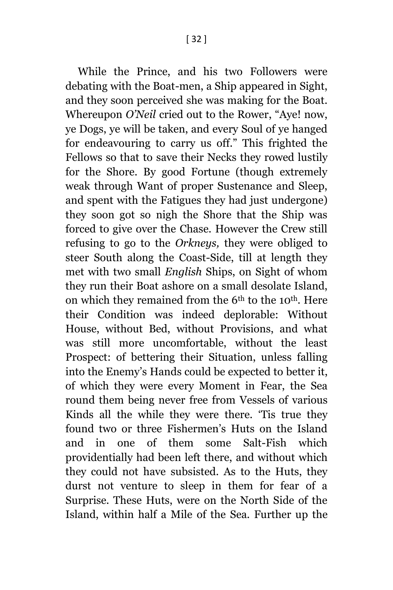While the Prince, and his two Followers were debating with the Boat-men, a Ship appeared in Sight, and they soon perceived she was making for the Boat. Whereupon *O'Neil* cried out to the Rower, "Aye! now, ye Dogs, ye will be taken, and every Soul of ye hanged for endeavouring to carry us off." This frighted the Fellows so that to save their Necks they rowed lustily for the Shore. By good Fortune (though extremely weak through Want of proper Sustenance and Sleep, and spent with the Fatigues they had just undergone) they soon got so nigh the Shore that the Ship was forced to give over the Chase. However the Crew still refusing to go to the *Orkneys,* they were obliged to steer South along the Coast-Side, till at length they met with two small *English* Ships, on Sight of whom they run their Boat ashore on a small desolate Island, on which they remained from the 6th to the 10th. Here their Condition was indeed deplorable: Without House, without Bed, without Provisions, and what was still more uncomfortable, without the least Prospect: of bettering their Situation, unless falling into the Enemy's Hands could be expected to better it, of which they were every Moment in Fear, the Sea round them being never free from Vessels of various Kinds all the while they were there. 'Tis true they found two or three Fishermen's Huts on the Island and in one of them some Salt-Fish which providentially had been left there, and without which they could not have subsisted. As to the Huts, they durst not venture to sleep in them for fear of a Surprise. These Huts, were on the North Side of the Island, within half a Mile of the Sea. Further up the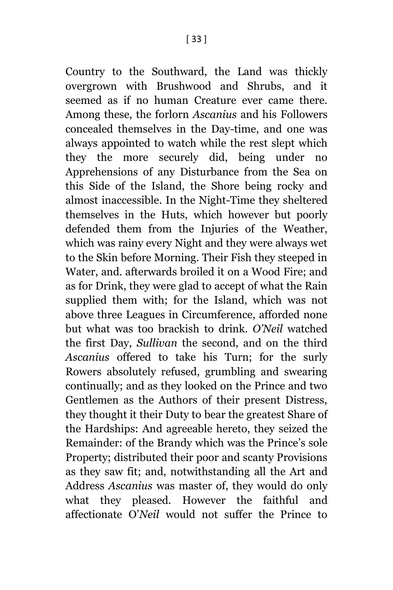Country to the Southward, the Land was thickly overgrown with Brushwood and Shrubs, and it seemed as if no human Creature ever came there. Among these, the forlorn *Ascanius* and his Followers concealed themselves in the Day-time, and one was always appointed to watch while the rest slept which they the more securely did, being under no Apprehensions of any Disturbance from the Sea on this Side of the Island, the Shore being rocky and almost inaccessible. In the Night-Time they sheltered themselves in the Huts, which however but poorly defended them from the Injuries of the Weather, which was rainy every Night and they were always wet to the Skin before Morning. Their Fish they steeped in Water, and. afterwards broiled it on a Wood Fire; and as for Drink, they were glad to accept of what the Rain supplied them with; for the Island, which was not above three Leagues in Circumference, afforded none but what was too brackish to drink. *O'Neil* watched the first Day, *Sullivan* the second, and on the third *Ascanius* offered to take his Turn; for the surly Rowers absolutely refused, grumbling and swearing continually; and as they looked on the Prince and two Gentlemen as the Authors of their present Distress, they thought it their Duty to bear the greatest Share of the Hardships: And agreeable hereto, they seized the Remainder: of the Brandy which was the Prince's sole Property; distributed their poor and scanty Provisions as they saw fit; and, notwithstanding all the Art and Address *Ascanius* was master of, they would do only what they pleased. However the faithful and affectionate O'*Neil* would not suffer the Prince to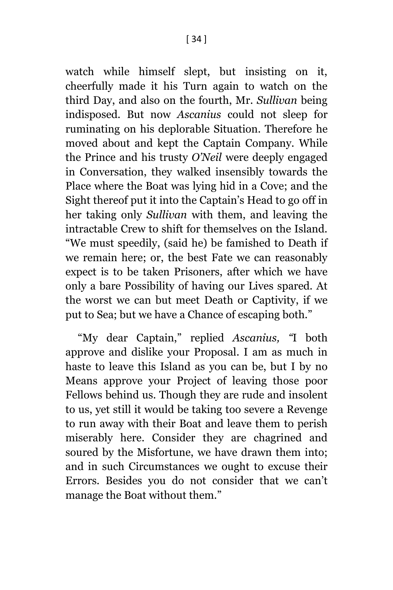watch while himself slept, but insisting on it, cheerfully made it his Turn again to watch on the third Day, and also on the fourth, Mr. *Sullivan* being indisposed. But now *Ascanius* could not sleep for ruminating on his deplorable Situation. Therefore he moved about and kept the Captain Company. While the Prince and his trusty *O'Neil* were deeply engaged in Conversation, they walked insensibly towards the Place where the Boat was lying hid in a Cove; and the Sight thereof put it into the Captain's Head to go off in her taking only *Sullivan* with them, and leaving the intractable Crew to shift for themselves on the Island. "We must speedily, (said he) be famished to Death if we remain here; or, the best Fate we can reasonably expect is to be taken Prisoners, after which we have only a bare Possibility of having our Lives spared. At the worst we can but meet Death or Captivity, if we put to Sea; but we have a Chance of escaping both."

"My dear Captain," replied *Ascanius, "*I both approve and dislike your Proposal. I am as much in haste to leave this Island as you can be, but I by no Means approve your Project of leaving those poor Fellows behind us. Though they are rude and insolent to us, yet still it would be taking too severe a Revenge to run away with their Boat and leave them to perish miserably here. Consider they are chagrined and soured by the Misfortune, we have drawn them into; and in such Circumstances we ought to excuse their Errors. Besides you do not consider that we can't manage the Boat without them."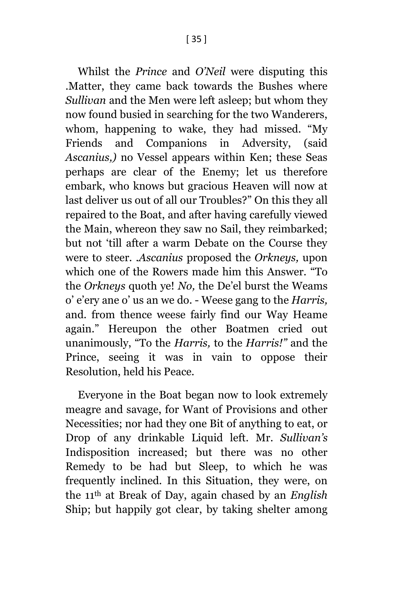Whilst the *Prince* and *O'Neil* were disputing this .Matter, they came back towards the Bushes where *Sullivan* and the Men were left asleep; but whom they now found busied in searching for the two Wanderers, whom, happening to wake, they had missed. "My Friends and Companions in Adversity, (said *Ascanius,)* no Vessel appears within Ken; these Seas perhaps are clear of the Enemy; let us therefore embark, who knows but gracious Heaven will now at last deliver us out of all our Troubles?" On this they all repaired to the Boat, and after having carefully viewed the Main, whereon they saw no Sail, they reimbarked; but not 'till after a warm Debate on the Course they were to steer. *.Ascanius* proposed the *Orkneys,* upon which one of the Rowers made him this Answer. "To the *Orkneys* quoth ye! *No,* the De'el burst the Weams o' e'ery ane o' us an we do. - Weese gang to the *Harris,*  and. from thence weese fairly find our Way Heame again." Hereupon the other Boatmen cried out unanimously, "To the *Harris,* to the *Harris!"* and the Prince, seeing it was in vain to oppose their Resolution, held his Peace.

Everyone in the Boat began now to look extremely meagre and savage, for Want of Provisions and other Necessities; nor had they one Bit of anything to eat, or Drop of any drinkable Liquid left. Mr. *Sullivan's*  Indisposition increased; but there was no other Remedy to be had but Sleep, to which he was frequently inclined. In this Situation, they were, on the 11th at Break of Day, again chased by an *English* Ship; but happily got clear, by taking shelter among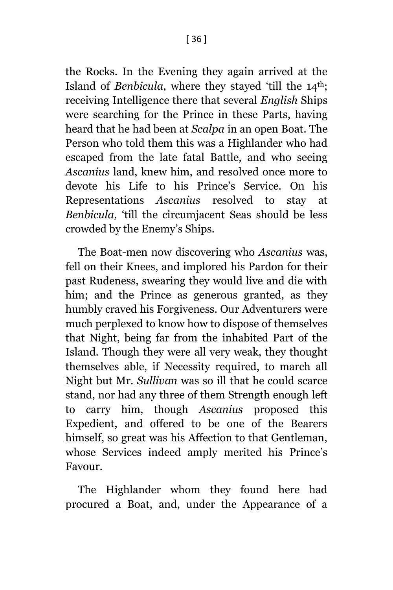the Rocks. In the Evening they again arrived at the Island of *Benbicula*, where they stayed 'till the 14<sup>th</sup>; receiving Intelligence there that several *English* Ships were searching for the Prince in these Parts, having heard that he had been at *Scalpa* in an open Boat. The Person who told them this was a Highlander who had escaped from the late fatal Battle, and who seeing *Ascanius* land, knew him, and resolved once more to devote his Life to his Prince's Service. On his Representations *Ascanius* resolved to stay at *Benbicula,* 'till the circumjacent Seas should be less crowded by the Enemy's Ships.

The Boat-men now discovering who *Ascanius* was, fell on their Knees, and implored his Pardon for their past Rudeness, swearing they would live and die with him; and the Prince as generous granted, as they humbly craved his Forgiveness. Our Adventurers were much perplexed to know how to dispose of themselves that Night, being far from the inhabited Part of the Island. Though they were all very weak, they thought themselves able, if Necessity required, to march all Night but Mr. *Sullivan* was so ill that he could scarce stand, nor had any three of them Strength enough left to carry him, though *Ascanius* proposed this Expedient, and offered to be one of the Bearers himself, so great was his Affection to that Gentleman, whose Services indeed amply merited his Prince's Favour.

The Highlander whom they found here had procured a Boat, and, under the Appearance of a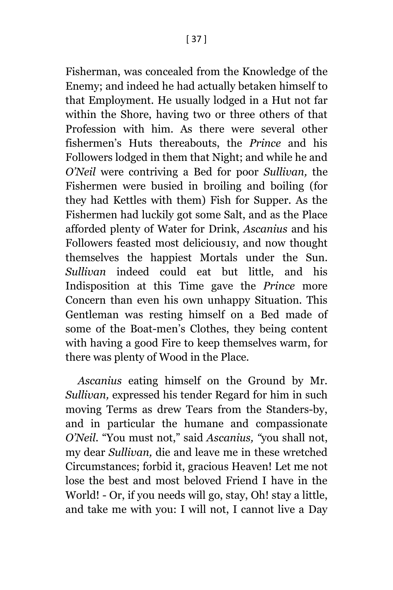Fisherman, was concealed from the Knowledge of the Enemy; and indeed he had actually betaken himself to that Employment. He usually lodged in a Hut not far within the Shore, having two or three others of that Profession with him. As there were several other fishermen's Huts thereabouts, the *Prince* and his Followers lodged in them that Night; and while he and *O'Neil* were contriving a Bed for poor *Sullivan,* the Fishermen were busied in broiling and boiling (for they had Kettles with them) Fish for Supper. As the Fishermen had luckily got some Salt, and as the Place afforded plenty of Water for Drink, *Ascanius* and his Followers feasted most delicious1y, and now thought themselves the happiest Mortals under the Sun. *Sullivan* indeed could eat but little, and his Indisposition at this Time gave the *Prince* more Concern than even his own unhappy Situation. This Gentleman was resting himself on a Bed made of some of the Boat-men's Clothes, they being content with having a good Fire to keep themselves warm, for there was plenty of Wood in the Place.

*Ascanius* eating himself on the Ground by Mr. *Sullivan,* expressed his tender Regard for him in such moving Terms as drew Tears from the Standers-by, and in particular the humane and compassionate *O'Neil.* "You must not," said *Ascanius, "*you shall not, my dear *Sullivan,* die and leave me in these wretched Circumstances; forbid it, gracious Heaven! Let me not lose the best and most beloved Friend I have in the World! - Or, if you needs will go, stay, Oh! stay a little, and take me with you: I will not, I cannot live a Day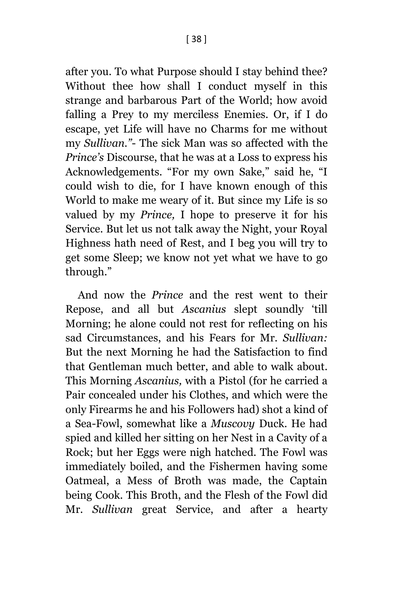after you. To what Purpose should I stay behind thee? Without thee how shall I conduct myself in this strange and barbarous Part of the World; how avoid falling a Prey to my merciless Enemies. Or, if I do escape, yet Life will have no Charms for me without my *Sullivan."*- The sick Man was so affected with the *Prince's* Discourse, that he was at a Loss to express his Acknowledgements. "For my own Sake," said he, "I could wish to die, for I have known enough of this World to make me weary of it. But since my Life is so valued by my *Prince,* I hope to preserve it for his Service. But let us not talk away the Night, your Royal Highness hath need of Rest, and I beg you will try to get some Sleep; we know not yet what we have to go through."

And now the *Prince* and the rest went to their Repose, and all but *Ascanius* slept soundly 'till Morning; he alone could not rest for reflecting on his sad Circumstances, and his Fears for Mr. *Sullivan:*  But the next Morning he had the Satisfaction to find that Gentleman much better, and able to walk about. This Morning *Ascanius,* with a Pistol (for he carried a Pair concealed under his Clothes, and which were the only Firearms he and his Followers had) shot a kind of a Sea-Fowl, somewhat like a *Muscovy* Duck. He had spied and killed her sitting on her Nest in a Cavity of a Rock; but her Eggs were nigh hatched. The Fowl was immediately boiled, and the Fishermen having some Oatmeal, a Mess of Broth was made, the Captain being Cook. This Broth, and the Flesh of the Fowl did Mr. *Sullivan* great Service, and after a hearty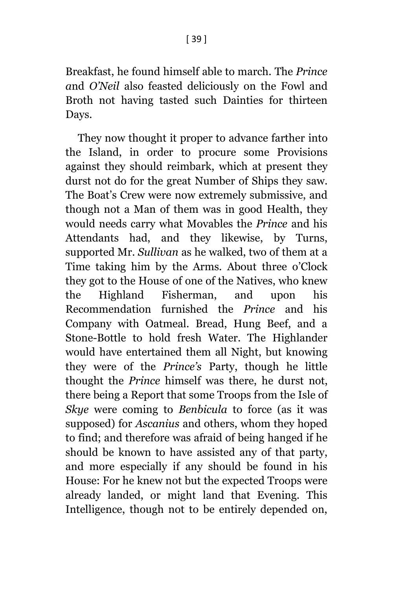Breakfast, he found himself able to march. The *Prince a*nd *O'Neil* also feasted deliciously on the Fowl and Broth not having tasted such Dainties for thirteen Days.

They now thought it proper to advance farther into the Island, in order to procure some Provisions against they should reimbark, which at present they durst not do for the great Number of Ships they saw. The Boat's Crew were now extremely submissive, and though not a Man of them was in good Health, they would needs carry what Movables the *Prince* and his Attendants had, and they likewise, by Turns, supported Mr. *Sullivan* as he walked, two of them at a Time taking him by the Arms. About three o'Clock they got to the House of one of the Natives, who knew the Highland Fisherman, and upon his Recommendation furnished the *Prince* and his Company with Oatmeal. Bread, Hung Beef, and a Stone-Bottle to hold fresh Water. The Highlander would have entertained them all Night, but knowing they were of the *Prince's* Party, though he little thought the *Prince* himself was there, he durst not, there being a Report that some Troops from the Isle of *Skye* were coming to *Benbicula* to force (as it was supposed) for *Ascanius* and others, whom they hoped to find; and therefore was afraid of being hanged if he should be known to have assisted any of that party, and more especially if any should be found in his House: For he knew not but the expected Troops were already landed, or might land that Evening. This Intelligence, though not to be entirely depended on,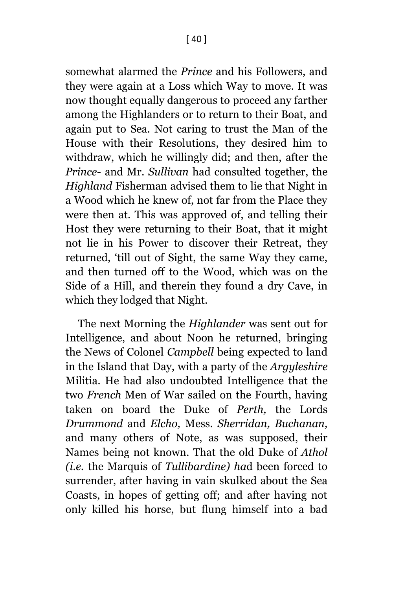somewhat alarmed the *Prince* and his Followers, and they were again at a Loss which Way to move. It was now thought equally dangerous to proceed any farther among the Highlanders or to return to their Boat, and again put to Sea. Not caring to trust the Man of the House with their Resolutions, they desired him to withdraw, which he willingly did; and then, after the *Prince-* and Mr. *Sullivan* had consulted together, the *Highland* Fisherman advised them to lie that Night in a Wood which he knew of, not far from the Place they were then at. This was approved of, and telling their Host they were returning to their Boat, that it might not lie in his Power to discover their Retreat, they returned, 'till out of Sight, the same Way they came, and then turned off to the Wood, which was on the Side of a Hill, and therein they found a dry Cave, in which they lodged that Night.

The next Morning the *Highlander* was sent out for Intelligence, and about Noon he returned, bringing the News of Colonel *Campbell* being expected to land in the Island that Day, with a party of the *Argyleshire*  Militia. He had also undoubted Intelligence that the two *French* Men of War sailed on the Fourth, having taken on board the Duke of *Perth,* the Lords *Drummond* and *Elcho,* Mess. *Sherridan, Buchanan,*  and many others of Note, as was supposed, their Names being not known. That the old Duke of *Athol (i.e.* the Marquis of *Tullibardine) ha*d been forced to surrender, after having in vain skulked about the Sea Coasts, in hopes of getting off; and after having not only killed his horse, but flung himself into a bad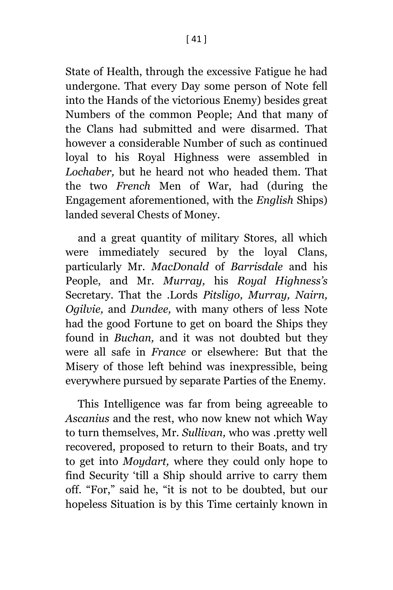State of Health, through the excessive Fatigue he had undergone. That every Day some person of Note fell into the Hands of the victorious Enemy) besides great Numbers of the common People; And that many of the Clans had submitted and were disarmed. That however a considerable Number of such as continued loyal to his Royal Highness were assembled in *Lochaber,* but he heard not who headed them. That the two *French* Men of War, had (during the Engagement aforementioned, with the *English* Ships) landed several Chests of Money.

and a great quantity of military Stores, all which were immediately secured by the loyal Clans, particularly Mr. *MacDonald* of *Barrisdale* and his People, and Mr. *Murray,* his *Royal Highness's* Secretary. That the .Lords *Pitsligo, Murray, Nairn, Ogilvie,* and *Dundee,* with many others of less Note had the good Fortune to get on board the Ships they found in *Buchan,* and it was not doubted but they were all safe in *France* or elsewhere: But that the Misery of those left behind was inexpressible, being everywhere pursued by separate Parties of the Enemy.

This Intelligence was far from being agreeable to *Ascanius* and the rest, who now knew not which Way to turn themselves, Mr. *Sullivan,* who was .pretty well recovered, proposed to return to their Boats, and try to get into *Moydart,* where they could only hope to find Security 'till a Ship should arrive to carry them off. "For," said he, "it is not to be doubted, but our hopeless Situation is by this Time certainly known in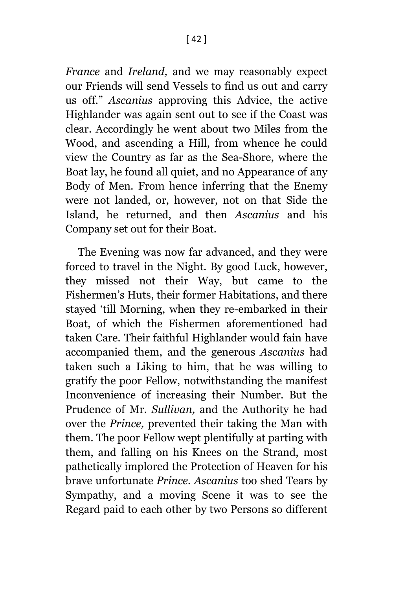*France* and *Ireland,* and we may reasonably expect our Friends will send Vessels to find us out and carry us off." *Ascanius* approving this Advice, the active Highlander was again sent out to see if the Coast was clear. Accordingly he went about two Miles from the Wood, and ascending a Hill, from whence he could view the Country as far as the Sea-Shore, where the Boat lay, he found all quiet, and no Appearance of any Body of Men. From hence inferring that the Enemy were not landed, or, however, not on that Side the Island, he returned, and then *Ascanius* and his Company set out for their Boat.

The Evening was now far advanced, and they were forced to travel in the Night. By good Luck, however, they missed not their Way, but came to the Fishermen's Huts, their former Habitations, and there stayed 'till Morning, when they re-embarked in their Boat, of which the Fishermen aforementioned had taken Care. Their faithful Highlander would fain have accompanied them, and the generous *Ascanius* had taken such a Liking to him, that he was willing to gratify the poor Fellow, notwithstanding the manifest Inconvenience of increasing their Number. But the Prudence of Mr. *Sullivan,* and the Authority he had over the *Prince,* prevented their taking the Man with them. The poor Fellow wept plentifully at parting with them, and falling on his Knees on the Strand, most pathetically implored the Protection of Heaven for his brave unfortunate *Prince. Ascanius* too shed Tears by Sympathy, and a moving Scene it was to see the Regard paid to each other by two Persons so different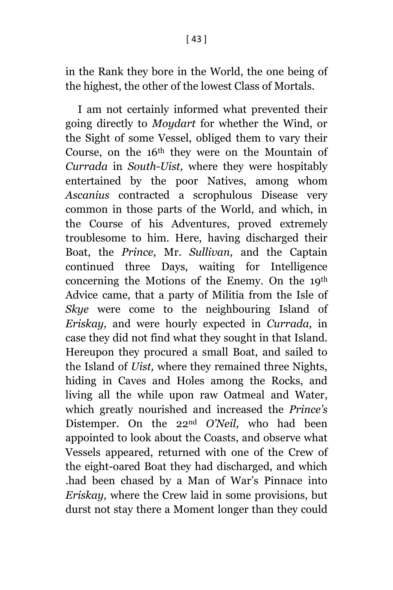in the Rank they bore in the World, the one being of the highest, the other of the lowest Class of Mortals.

I am not certainly informed what prevented their going directly to *Moydart* for whether the Wind, or the Sight of some Vessel, obliged them to vary their Course, on the 16th they were on the Mountain of *Currada* in *South-Uist,* where they were hospitably entertained by the poor Natives, among whom *Ascanius* contracted a scrophulous Disease very common in those parts of the World, and which, in the Course of his Adventures, proved extremely troublesome to him. Here, having discharged their Boat, the *Prince*, Mr. *Sullivan,* and the Captain continued three Days, waiting for Intelligence concerning the Motions of the Enemy. On the 19th Advice came, that a party of Militia from the Isle of *Skye* were come to the neighbouring Island of *Eriskay,* and were hourly expected in *Currada,* in case they did not find what they sought in that Island. Hereupon they procured a small Boat, and sailed to the Island of *Uist,* where they remained three Nights, hiding in Caves and Holes among the Rocks, and living all the while upon raw Oatmeal and Water, which greatly nourished and increased the *Prince's*  Distemper. On the 22nd *O'Neil,* who had been appointed to look about the Coasts, and observe what Vessels appeared, returned with one of the Crew of the eight-oared Boat they had discharged, and which .had been chased by a Man of War's Pinnace into *Eriskay,* where the Crew laid in some provisions, but durst not stay there a Moment longer than they could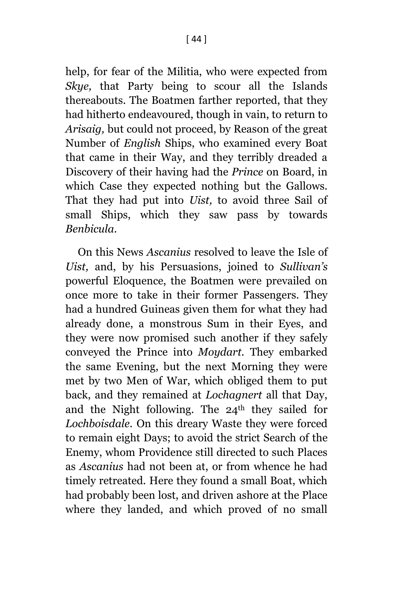help, for fear of the Militia, who were expected from *Skye,* that Party being to scour all the Islands thereabouts. The Boatmen farther reported, that they had hitherto endeavoured, though in vain, to return to *Arisaig,* but could not proceed, by Reason of the great Number of *English* Ships, who examined every Boat that came in their Way, and they terribly dreaded a Discovery of their having had the *Prince* on Board, in which Case they expected nothing but the Gallows. That they had put into *Uist,* to avoid three Sail of small Ships, which they saw pass by towards *Benbicula.*

On this News *Ascanius* resolved to leave the Isle of *Uist,* and, by his Persuasions, joined to *Sullivan's*  powerful Eloquence, the Boatmen were prevailed on once more to take in their former Passengers. They had a hundred Guineas given them for what they had already done, a monstrous Sum in their Eyes, and they were now promised such another if they safely conveyed the Prince into *Moydart.* They embarked the same Evening, but the next Morning they were met by two Men of War, which obliged them to put back, and they remained at *Lochagnert* all that Day, and the Night following. The 24th they sailed for *Lochboisdale.* On this dreary Waste they were forced to remain eight Days; to avoid the strict Search of the Enemy, whom Providence still directed to such Places as *Ascanius* had not been at, or from whence he had timely retreated. Here they found a small Boat, which had probably been lost, and driven ashore at the Place where they landed, and which proved of no small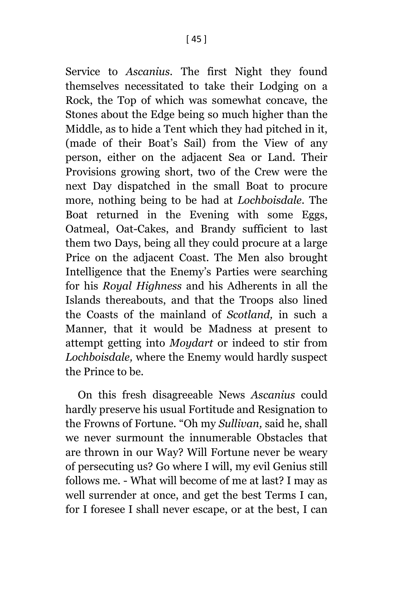Service to *Ascanius.* The first Night they found themselves necessitated to take their Lodging on a Rock, the Top of which was somewhat concave, the Stones about the Edge being so much higher than the Middle, as to hide a Tent which they had pitched in it, (made of their Boat's Sail) from the View of any person, either on the adjacent Sea or Land. Their Provisions growing short, two of the Crew were the next Day dispatched in the small Boat to procure more, nothing being to be had at *Lochboisdale.* The Boat returned in the Evening with some Eggs, Oatmeal, Oat-Cakes, and Brandy sufficient to last them two Days, being all they could procure at a large Price on the adjacent Coast. The Men also brought Intelligence that the Enemy's Parties were searching for his *Royal Highness* and his Adherents in all the Islands thereabouts, and that the Troops also lined the Coasts of the mainland of *Scotland,* in such a Manner, that it would be Madness at present to attempt getting into *Moydart* or indeed to stir from *Lochboisdale,* where the Enemy would hardly suspect the Prince to be.

On this fresh disagreeable News *Ascanius* could hardly preserve his usual Fortitude and Resignation to the Frowns of Fortune. "Oh my *Sullivan,* said he, shall we never surmount the innumerable Obstacles that are thrown in our Way? Will Fortune never be weary of persecuting us? Go where I will, my evil Genius still follows me. - What will become of me at last? I may as well surrender at once, and get the best Terms I can, for I foresee I shall never escape, or at the best, I can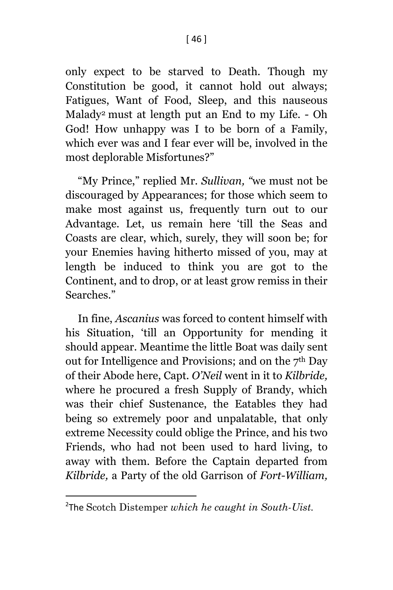only expect to be starved to Death. Though my Constitution be good, it cannot hold out always; Fatigues, Want of Food, Sleep, and this nauseous Malady<sup>2</sup> must at length put an End to my Life. - Oh God! How unhappy was I to be born of a Family, which ever was and I fear ever will be, involved in the most deplorable Misfortunes?"

"My Prince," replied Mr. *Sullivan, "*we must not be discouraged by Appearances; for those which seem to make most against us, frequently turn out to our Advantage. Let, us remain here 'till the Seas and Coasts are clear, which, surely, they will soon be; for your Enemies having hitherto missed of you, may at length be induced to think you are got to the Continent, and to drop, or at least grow remiss in their Searches."

In fine, *Ascanius* was forced to content himself with his Situation, 'till an Opportunity for mending it should appear. Meantime the little Boat was daily sent out for Intelligence and Provisions; and on the 7th Day of their Abode here, Capt. *O'Neil* went in it to *Kilbride,*  where he procured a fresh Supply of Brandy, which was their chief Sustenance, the Eatables they had being so extremely poor and unpalatable, that only extreme Necessity could oblige the Prince, and his two Friends, who had not been used to hard living, to away with them. Before the Captain departed from *Kilbride,* a Party of the old Garrison of *Fort-William,* 

 $\overline{\phantom{a}}$ 

<sup>2</sup> The Scotch Distemper *which he caught in South-Uist.*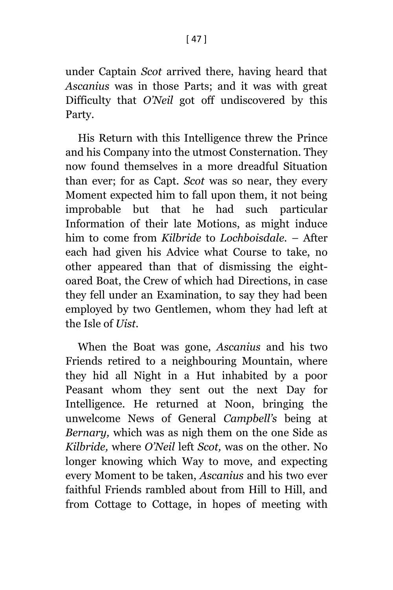under Captain *Scot* arrived there, having heard that *Ascanius* was in those Parts; and it was with great Difficulty that *O'Neil* got off undiscovered by this Party.

His Return with this Intelligence threw the Prince and his Company into the utmost Consternation. They now found themselves in a more dreadful Situation than ever; for as Capt. *Scot* was so near, they every Moment expected him to fall upon them, it not being improbable but that he had such particular Information of their late Motions, as might induce him to come from *Kilbride* to *Lochboisdale. –* After each had given his Advice what Course to take, no other appeared than that of dismissing the eightoared Boat, the Crew of which had Directions, in case they fell under an Examination, to say they had been employed by two Gentlemen, whom they had left at the Isle of *Uist.*

When the Boat was gone, *Ascanius* and his two Friends retired to a neighbouring Mountain, where they hid all Night in a Hut inhabited by a poor Peasant whom they sent out the next Day for Intelligence. He returned at Noon, bringing the unwelcome News of General *Campbell's* being at *Bernary,* which was as nigh them on the one Side as *Kilbride,* where *O'Neil* left *Scot,* was on the other. No longer knowing which Way to move, and expecting every Moment to be taken, *Ascanius* and his two ever faithful Friends rambled about from Hill to Hill, and from Cottage to Cottage, in hopes of meeting with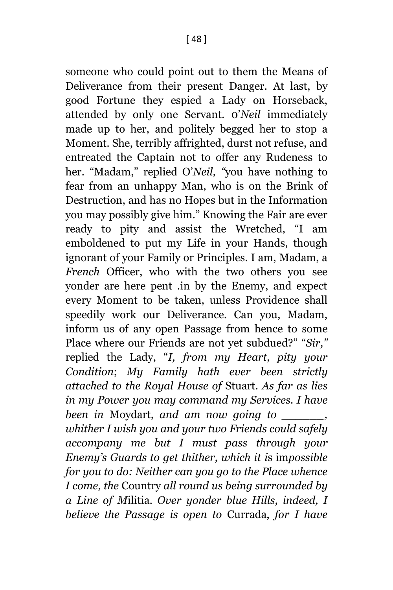someone who could point out to them the Means of Deliverance from their present Danger. At last, by good Fortune they espied a Lady on Horseback, attended by only one Servant. 0'*Neil* immediately made up to her, and politely begged her to stop a Moment. She, terribly affrighted, durst not refuse, and entreated the Captain not to offer any Rudeness to her. "Madam," replied O'*Neil, "*you have nothing to fear from an unhappy Man, who is on the Brink of Destruction, and has no Hopes but in the Information you may possibly give him." Knowing the Fair are ever ready to pity and assist the Wretched, "I am emboldened to put my Life in your Hands, though ignorant of your Family or Principles. I am, Madam, a *French* Officer, who with the two others you see yonder are here pent .in by the Enemy, and expect every Moment to be taken, unless Providence shall speedily work our Deliverance. Can you, Madam, inform us of any open Passage from hence to some Place where our Friends are not yet subdued?" "*Sir,"* replied the Lady, "*I, from my Heart, pity your Condition*; *My Family hath ever been strictly attached to the Royal House of* Stuart. *As far as lies in my Power you may command my Services. I have been in* Moydart, *and am now going to \_\_\_\_\_\_, whither I wish you and your two Friends could safely accompany me but I must pass through your Enemy's Guards to get thither, which it i*s im*possible for you to do: Neither can you go to the Place whence I come, the* Country *all round us being surrounded by a Line of M*ilitia. *Over yonder blue Hills, indeed, I believe the Passage is open to* Currada, *for I have*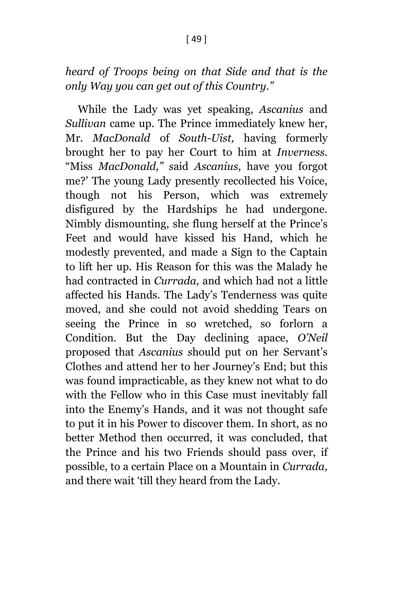### *heard of Troops being on that Side and that is the only Way you can get out of this Country."*

While the Lady was yet speaking, *Ascanius* and *Sullivan* came up. The Prince immediately knew her, Mr. *MacDonald* of *South-Uist,* having formerly brought her to pay her Court to him at *Inverness.*  "Miss *MacDonald," s*aid *Ascanius*, have you forgot me?' The young Lady presently recollected his Voice, though not his Person, which was extremely disfigured by the Hardships he had undergone. Nimbly dismounting, she flung herself at the Prince's Feet and would have kissed his Hand, which he modestly prevented, and made a Sign to the Captain to lift her up. His Reason for this was the Malady he had contracted in *Currada,* and which had not a little affected his Hands. The Lady's Tenderness was quite moved, and she could not avoid shedding Tears on seeing the Prince in so wretched, so forlorn a Condition. But the Day declining apace, *O'Neil*  proposed that *Ascanius s*hould put on her Servant's Clothes and attend her to her Journey's End; but this was found impracticable, as they knew not what to do with the Fellow who in this Case must inevitably fall into the Enemy's Hands, and it was not thought safe to put it in his Power to discover them. In short, as no better Method then occurred, it was concluded, that the Prince and his two Friends should pass over, if possible, to a certain Place on a Mountain in *Currada,* and there wait 'till they heard from the Lady.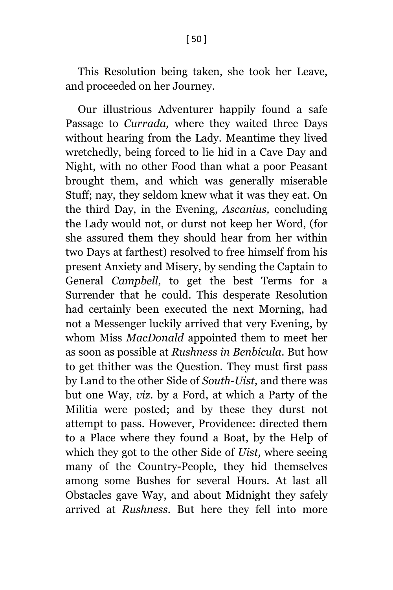This Resolution being taken, she took her Leave, and proceeded on her Journey.

Our illustrious Adventurer happily found a safe Passage to *Currada,* where they waited three Days without hearing from the Lady. Meantime they lived wretchedly, being forced to lie hid in a Cave Day and Night, with no other Food than what a poor Peasant brought them, and which was generally miserable Stuff; nay, they seldom knew what it was they eat. On the third Day, in the Evening, *Ascanius,* concluding the Lady would not, or durst not keep her Word, (for she assured them they should hear from her within two Days at farthest) resolved to free himself from his present Anxiety and Misery, by sending the Captain to General *Campbell,* to get the best Terms for a Surrender that he could. This desperate Resolution had certainly been executed the next Morning, had not a Messenger luckily arrived that very Evening, by whom Miss *MacDonald* appointed them to meet her as soon as possible at *Rushness in Benbicula.* But how to get thither was the Question. They must first pass by Land to the other Side of *South-Uist,* and there was but one Way, *viz*. by a Ford, at which a Party of the Militia were posted; and by these they durst not attempt to pass. However, Providence: directed them to a Place where they found a Boat, by the Help of which they got to the other Side of *Uist,* where seeing many of the Country-People, they hid themselves among some Bushes for several Hours. At last all Obstacles gave Way, and about Midnight they safely arrived at *Rushness.* But here they fell into more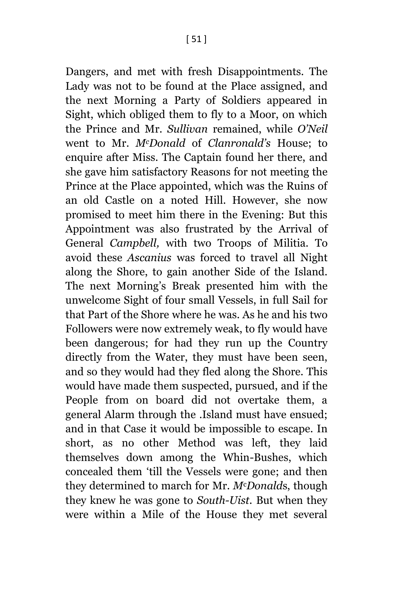Dangers, and met with fresh Disappointments. The Lady was not to be found at the Place assigned, and the next Morning a Party of Soldiers appeared in Sight, which obliged them to fly to a Moor, on which the Prince and Mr. *Sullivan* remained, while *O'Neil*  went to Mr. *McDonald* of *Clanronald's* House; to enquire after Miss. The Captain found her there, and she gave him satisfactory Reasons for not meeting the Prince at the Place appointed, which was the Ruins of an old Castle on a noted Hill. However, she now promised to meet him there in the Evening: But this Appointment was also frustrated by the Arrival of General *Campbell,* with two Troops of Militia. To avoid these *Ascanius* was forced to travel all Night along the Shore, to gain another Side of the Island. The next Morning's Break presented him with the unwelcome Sight of four small Vessels, in full Sail for that Part of the Shore where he was. As he and his two Followers were now extremely weak, to fly would have been dangerous; for had they run up the Country directly from the Water, they must have been seen, and so they would had they fled along the Shore. This would have made them suspected, pursued, and if the People from on board did not overtake them, a general Alarm through the .Island must have ensued; and in that Case it would be impossible to escape. In short, as no other Method was left, they laid themselves down among the Whin-Bushes, which concealed them 'till the Vessels were gone; and then they determined to march for Mr. *M*c*Donald*s, though they knew he was gone to *South-Uist.* But when they were within a Mile of the House they met several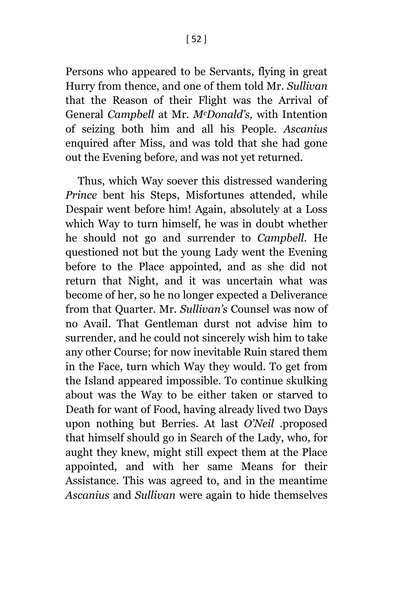Persons who appeared to be Servants, flying in great Hurry from thence, and one of them told Mr. *Sullivan* that the Reason of their Flight was the Arrival of General *Campbell* at Mr. *McDonald's,* with Intention of seizing both him and all his People. *Ascanius*  enquired after Miss, and was told that she had gone out the Evening before, and was not yet returned.

Thus, which Way soever this distressed wandering *Prince* bent his Steps, Misfortunes attended, while Despair went before him! Again, absolutely at a Loss which Way to turn himself, he was in doubt whether he should not go and surrender to *Campbell.* He questioned not but the young Lady went the Evening before to the Place appointed, and as she did not return that Night, and it was uncertain what was become of her, so he no longer expected a Deliverance from that Quarter. Mr. *Sullivan's* Counsel was now of no Avail. That Gentleman durst not advise him to surrender, and he could not sincerely wish him to take any other Course; for now inevitable Ruin stared them in the Face, turn which Way they would. To get from the Island appeared impossible. To continue skulking about was the Way to be either taken or starved to Death for want of Food, having already lived two Days upon nothing but Berries. At last *O'Neil .*proposed that himself should go in Search of the Lady, who, for aught they knew, might still expect them at the Place appointed, and with her same Means for their Assistance. This was agreed to, and in the meantime *Ascanius* and *Sullivan* were again to hide themselves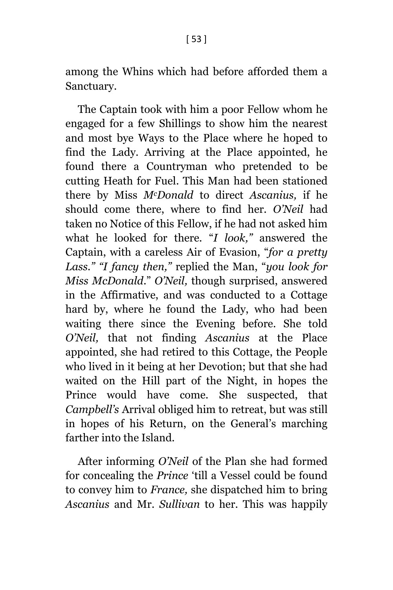among the Whins which had before afforded them a Sanctuary.

The Captain took with him a poor Fellow whom he engaged for a few Shillings to show him the nearest and most bye Ways to the Place where he hoped to find the Lady. Arriving at the Place appointed, he found there a Countryman who pretended to be cutting Heath for Fuel. This Man had been stationed there by Miss *McDonald* to direct *Ascanius,* if he should come there, where to find her. *O'Neil* had taken no Notice of this Fellow, if he had not asked him what he looked for there. "*I look,"* answered the Captain, with a careless Air of Evasion, "*for a pretty Lass." "I fancy then,"* replied the Man, "*you look for Miss McDonald*." *O'Neil,* though surprised, answered in the Affirmative, and was conducted to a Cottage hard by, where he found the Lady, who had been waiting there since the Evening before. She told *O'Neil,* that not finding *Ascanius* at the Place appointed, she had retired to this Cottage, the People who lived in it being at her Devotion; but that she had waited on the Hill part of the Night, in hopes the Prince would have come. She suspected, that *Campbell's* Arrival obliged him to retreat, but was still in hopes of his Return, on the General's marching farther into the Island.

After informing *O'Neil* of the Plan she had formed for concealing the *Prince* 'till a Vessel could be found to convey him to *France,* she dispatched him to bring *Ascanius* and Mr. *Sullivan* to her. This was happily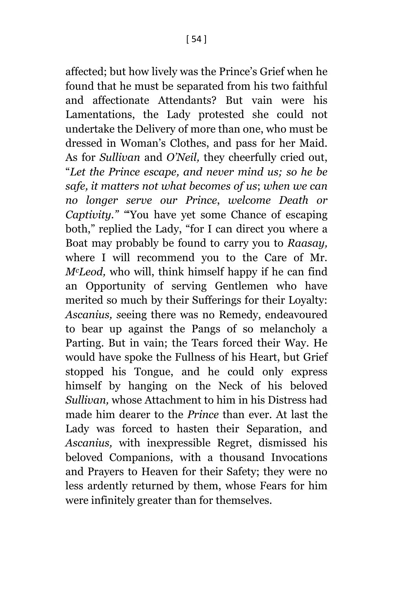affected; but how lively was the Prince's Grief when he found that he must be separated from his two faithful and affectionate Attendants? But vain were his Lamentations, the Lady protested she could not undertake the Delivery of more than one, who must be dressed in Woman's Clothes, and pass for her Maid. As for *Sullivan* and *O'Neil,* they cheerfully cried out, "*Let the Prince escape, and never mind us; so he be safe, it matters not what becomes of us*; *when we can no longer serve our Prince*, *welcome Death or Captivity." "*'You have yet some Chance of escaping both," replied the Lady, "for I can direct you where a Boat may probably be found to carry you to *Raasay,*  where I will recommend you to the Care of Mr. *McLeod,* who will, think himself happy if he can find an Opportunity of serving Gentlemen who have merited so much by their Sufferings for their Loyalty: *Ascanius, s*eeing there was no Remedy, endeavoured to bear up against the Pangs of so melancholy a Parting. But in vain; the Tears forced their Way. He would have spoke the Fullness of his Heart, but Grief stopped his Tongue, and he could only express himself by hanging on the Neck of his beloved *Sullivan,* whose Attachment to him in his Distress had made him dearer to the *Prince* than ever. At last the Lady was forced to hasten their Separation, and *Ascanius,* with inexpressible Regret, dismissed his beloved Companions, with a thousand Invocations and Prayers to Heaven for their Safety; they were no less ardently returned by them, whose Fears for him were infinitely greater than for themselves.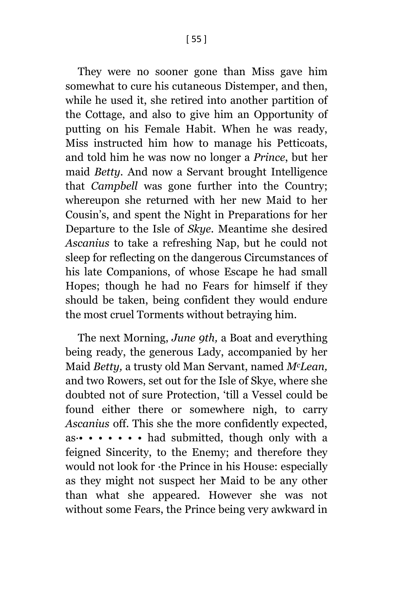They were no sooner gone than Miss gave him somewhat to cure his cutaneous Distemper, and then, while he used it, she retired into another partition of the Cottage, and also to give him an Opportunity of putting on his Female Habit. When he was ready, Miss instructed him how to manage his Petticoats, and told him he was now no longer a *Prince*, but her maid *Betty.* And now a Servant brought Intelligence that *Campbell* was gone further into the Country; whereupon she returned with her new Maid to her Cousin's, and spent the Night in Preparations for her

Departure to the Isle of *Skye.* Meantime she desired *Ascanius* to take a refreshing Nap, but he could not sleep for reflecting on the dangerous Circumstances of his late Companions, of whose Escape he had small Hopes; though he had no Fears for himself if they should be taken, being confident they would endure the most cruel Torments without betraying him.

The next Morning, *June 9th,* a Boat and everything being ready, the generous Lady, accompanied by her Maid *Betty,* a trusty old Man Servant, named *McLean,*  and two Rowers, set out for the Isle of Skye, where she doubted not of sure Protection, 'till a Vessel could be found either there or somewhere nigh, to carry *Ascanius* off. This she the more confidently expected,  $as \cdot \cdot \cdot \cdot \cdot \cdot \cdot \cdot \cdot$  had submitted, though only with a feigned Sincerity, to the Enemy; and therefore they would not look for ·the Prince in his House: especially as they might not suspect her Maid to be any other than what she appeared. However she was not without some Fears, the Prince being very awkward in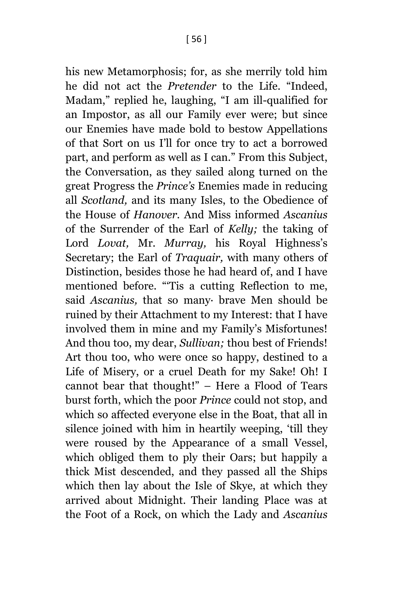his new Metamorphosis; for, as she merrily told him he did not act the *Pretender* to the Life. "Indeed, Madam," replied he, laughing, "I am ill-qualified for an Impostor, as all our Family ever were; but since our Enemies have made bold to bestow Appellations of that Sort on us I'll for once try to act a borrowed part, and perform as well as I can." From this Subject, the Conversation, as they sailed along turned on the great Progress the *Prince's* Enemies made in reducing all *Scotland,* and its many Isles, to the Obedience of the House of *Hanover.* And Miss informed *Ascanius*  of the Surrender of the Earl of *Kelly;* the taking of Lord *Lovat,* Mr. *Murray,* his Royal Highness's Secretary; the Earl of *Traquair,* with many others of Distinction, besides those he had heard of, and I have mentioned before. "'Tis a cutting Reflection to me, said *Ascanius,* that so many· brave Men should be ruined by their Attachment to my Interest: that I have involved them in mine and my Family's Misfortunes! And thou too, my dear, *Sullivan;* thou best of Friends! Art thou too, who were once so happy, destined to a Life of Misery, or a cruel Death for my Sake! Oh! I cannot bear that thought!" – Here a Flood of Tears burst forth, which the poor *Prince* could not stop, and which so affected everyone else in the Boat, that all in silence joined with him in heartily weeping, 'till they were roused by the Appearance of a small Vessel, which obliged them to ply their Oars; but happily a thick Mist descended, and they passed all the Ships which then lay about th*e* Isle of Skye, at which they arrived about Midnight. Their landing Place was at the Foot of a Rock, on which the Lady and *Ascanius*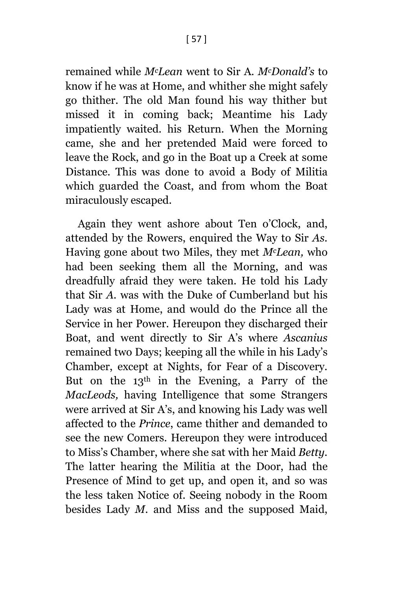remained while *McLean* went to Sir A. *McDonald's* to know if he was at Home, and whither she might safely go thither. The old Man found his way thither but missed it in coming back; Meantime his Lady impatiently waited. his Return. When the Morning came, she and her pretended Maid were forced to leave the Rock, and go in the Boat up a Creek at some Distance. This was done to avoid a Body of Militia which guarded the Coast, and from whom the Boat miraculously escaped.

Again they went ashore about Ten o'Clock, and, attended by the Rowers, enquired the Way to Sir *As.*  Having gone about two Miles, they met *McLean,* who had been seeking them all the Morning, and was dreadfully afraid they were taken. He told his Lady that Sir *A.* was with the Duke of Cumberland but his Lady was at Home, and would do the Prince all the Service in her Power. Hereupon they discharged their Boat, and went directly to Sir A's where *Ascanius*  remained two Days; keeping all the while in his Lady's Chamber, except at Nights, for Fear of a Discovery. But on the  $13<sup>th</sup>$  in the Evening, a Parry of the *MacLeods,* having Intelligence that some Strangers were arrived at Sir A's, and knowing his Lady was well affected to the *Prince*, came thither and demanded to see the new Comers. Hereupon they were introduced to Miss's Chamber, where she sat with her Maid *Betty.*  The latter hearing the Militia at the Door, had the Presence of Mind to get up, and open it, and so was the less taken Notice of. Seeing nobody in the Room besides Lady *M.* and Miss and the supposed Maid,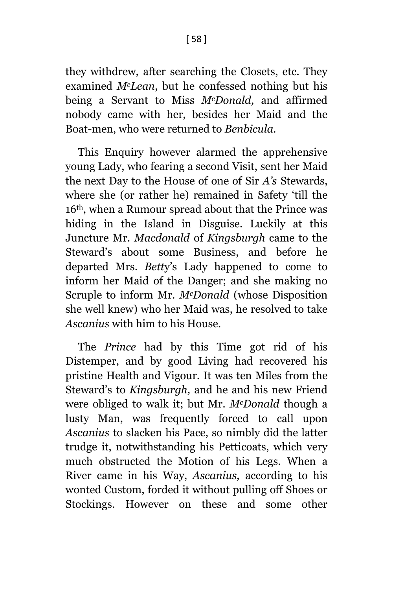they withdrew, after searching the Closets, etc. They examined *McLean*, but he confessed nothing but his being a Servant to Miss *McDonald,* and affirmed nobody came with her, besides her Maid and the Boat-men, who were returned to *Benbicula.*

This Enquiry however alarmed the apprehensive young Lady, who fearing a second Visit, sent her Maid the next Day to the House of one of Sir *A's* Stewards, where she (or rather he) remained in Safety 'till the 16th, when a Rumour spread about that the Prince was hiding in the Island in Disguise. Luckily at this Juncture Mr. *Macdonald* of *Kingsburgh* came to the Steward's about some Business, and before he departed Mrs. *Bett*y's Lady happened to come to inform her Maid of the Danger; and she making no Scruple to inform Mr. *McDonald* (whose Disposition she well knew) who her Maid was, he resolved to take *Ascanius* with him to his House.

The *Prince* had by this Time got rid of his Distemper, and by good Living had recovered his pristine Health and Vigour. It was ten Miles from the Steward's to *Kingsburgh,* and he and his new Friend were obliged to walk it; but Mr. *McDonald* though a lusty Man, was frequently forced to call upon *Ascanius* to slacken his Pace, so nimbly did the latter trudge it, notwithstanding his Petticoats, which very much obstructed the Motion of his Legs. When a River came in his Way, *Ascanius,* according to his wonted Custom, forded it without pulling off Shoes or Stockings. However on these and some other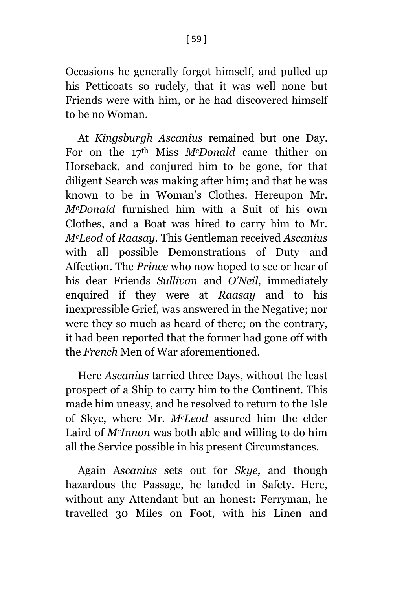Occasions he generally forgot himself, and pulled up his Petticoats so rudely, that it was well none but Friends were with him, or he had discovered himself to be no Woman.

At *Kingsburgh Ascanius* remained but one Day. For on the 17th Miss *McDonald* came thither on Horseback, and conjured him to be gone, for that diligent Search was making after him; and that he was known to be in Woman's Clothes. Hereupon Mr. *McDonald* furnished him with a Suit of his own Clothes, and a Boat was hired to carry him to Mr. *McLeod* of *Raasay.* This Gentleman received *Ascanius*  with all possible Demonstrations of Duty and Affection. The *Prince* who now hoped to see or hear of his dear Friends *Sullivan* and *O'Neil,* immediately enquired if they were at *Raasay* and to his inexpressible Grief, was answered in the Negative; nor were they so much as heard of there; on the contrary, it had been reported that the former had gone off with the *French* Men of War aforementioned.

Here *Ascanius* tarried three Days, without the least prospect of a Ship to carry him to the Continent. This made him uneasy, and he resolved to return to the Isle of Skye, where Mr. *McLeod* assured him the elder Laird of *McInnon* was both able and willing to do him all the Service possible in his present Circumstances.

Again A*scanius s*ets out for *Skye,* and though hazardous the Passage, he landed in Safety. Here, without any Attendant but an honest: Ferryman, he travelled 30 Miles on Foot, with his Linen and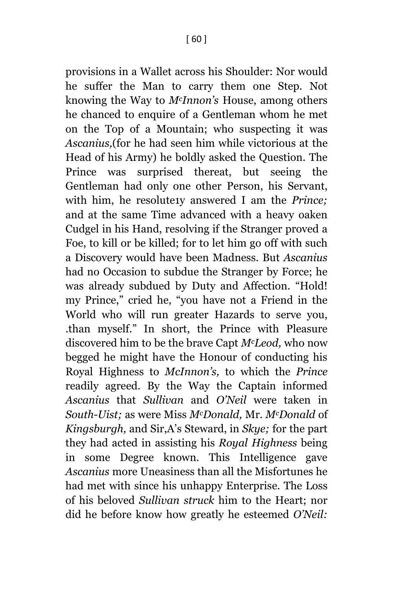provisions in a Wallet across his Shoulder: Nor would he suffer the Man to carry them one Step. Not knowing the Way to *McInnon's* House, among others he chanced to enquire of a Gentleman whom he met on the Top of a Mountain; who suspecting it was *Ascanius,*(for he had seen him while victorious at the Head of his Army) he boldly asked the Question. The Prince was surprised thereat, but seeing the Gentleman had only one other Person, his Servant, with him, he resolute1y answered I am the *Prince;*  and at the same Time advanced with a heavy oaken Cudgel in his Hand, resolving if the Stranger proved a Foe, to kill or be killed; for to let him go off with such a Discovery would have been Madness. But *Ascanius*  had no Occasion to subdue the Stranger by Force; he was already subdued by Duty and Affection. "Hold! my Prince," cried he, "you have not a Friend in the World who will run greater Hazards to serve you, .than myself." In short, the Prince with Pleasure discovered him to be the brave Capt *McLeod,* who now begged he might have the Honour of conducting his Royal Highness to *McInnon's,* to which the *Prince* readily agreed. By the Way the Captain informed *Ascanius* that *Sullivan* and *O'Neil* were taken in *South-Uist;* as were Miss *McDonald,* Mr. *McDonald* of *Kingsburgh,* and Sir,A's Steward, in *Skye;* for the part they had acted in assisting his *Royal Highness* being in some Degree known. This Intelligence gave *Ascanius* more Uneasiness than all the Misfortunes he had met with since his unhappy Enterprise. The Loss of his beloved *Sullivan struck* him to the Heart; nor did he before know how greatly he esteemed *O'Neil:*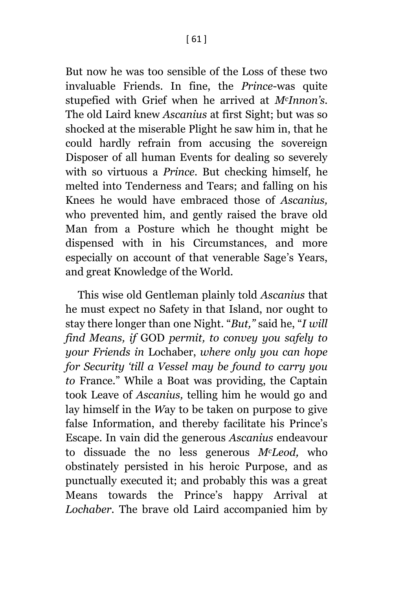But now he was too sensible of the Loss of these two invaluable Friends. In fine, the *Prince*-was quite stupefied with Grief when he arrived at *McInnon's.* The old Laird knew *Ascanius* at first Sight; but was so shocked at the miserable Plight he saw him in, that he could hardly refrain from accusing the sovereign Disposer of all human Events for dealing so severely with so virtuous a *Prince*. But checking himself, he melted into Tenderness and Tears; and falling on his Knees he would have embraced those of *Ascanius,*  who prevented him, and gently raised the brave old Man from a Posture which he thought might be dispensed with in his Circumstances, and more especially on account of that venerable Sage's Years, and great Knowledge of the World.

This wise old Gentleman plainly told *Ascanius* that he must expect no Safety in that Island, nor ought to stay there longer than one Night. "*But,"* said he, "*I will find Means, if* GOD *permit, to convey you safely to your Friends in* Lochaber, *where only you can hope for Security 'till a Vessel may be found to carry you to* France." While a Boat was providing, the Captain took Leave of *Ascanius,* telling him he would go and lay himself in the *W*ay to be taken on purpose to give false Information, and thereby facilitate his Prince's Escape. In vain did the generous *Ascanius* endeavour to dissuade the no less generous *McLeod,* who obstinately persisted in his heroic Purpose, and as punctually executed it; and probably this was a great Means towards the Prince's happy Arrival at *Lochaber.* The brave old Laird accompanied him by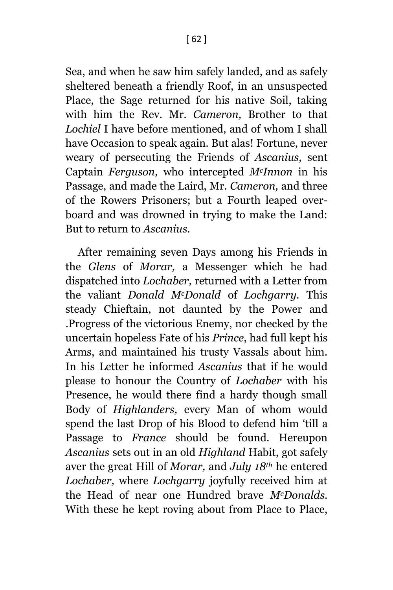Sea, and when he saw him safely landed, and as safely sheltered beneath a friendly Roof, in an unsuspected Place, the Sage returned for his native Soil, taking with him the Rev. Mr. *Cameron,* Brother to that *Lochiel* I have before mentioned, and of whom I shall have Occasion to speak again. But alas! Fortune, never weary of persecuting the Friends of *Ascanius,* sent Captain *Ferguson,* who intercepted *McInnon* in his Passage, and made the Laird, Mr. *Cameron,* and three of the Rowers Prisoners; but a Fourth leaped overboard and was drowned in trying to make the Land: But to return to *Ascanius.*

After remaining seven Days among his Friends in the *Glens* of *Morar,* a Messenger which he had dispatched into *Lochaber,* returned with a Letter from the valiant *Donald McDonald* of *Lochgarry.* This steady Chieftain, not daunted by the Power and .Progress of the victorious Enemy, nor checked by the uncertain hopeless Fate of his *Prince*, had full kept his Arms, and maintained his trusty Vassals about him. In his Letter he informed *Ascanius* that if he would please to honour the Country of *Lochaber* with his Presence, he would there find a hardy though small Body of *Highlanders,* every Man of whom would spend the last Drop of his Blood to defend him 'till a Passage to *France* should be found. Hereupon *Ascanius* sets out in an old *Highland* Habit, got safely aver the great Hill of *Morar,* and *July 18th* he entered *Lochaber,* where *Lochgarry* joyfully received him at the Head of near one Hundred brave *McDonalds.*  With these he kept roving about from Place to Place,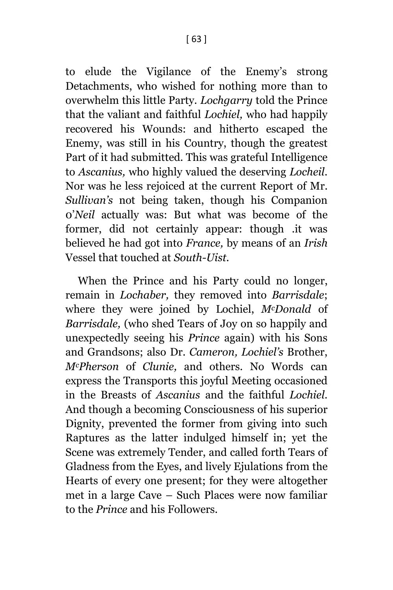to elude the Vigilance of the Enemy's strong Detachments, who wished for nothing more than to overwhelm this little Party. *Lochgarry* told the Prince that the valiant and faithful *Lochiel,* who had happily recovered his Wounds: and hitherto escaped the Enemy, was still in his Country, though the greatest Part of it had submitted. This was grateful Intelligence to *Ascanius,* who highly valued the deserving *Locheil.*  Nor was he less rejoiced at the current Report of Mr. *Sullivan's* not being taken, though his Companion 0'*Neil* actually was: But what was become of the former, did not certainly appear: though .it was believed he had got into *France,* by means of an *Irish*  Vessel that touched at *South-Uist.*

When the Prince and his Party could no longer, remain in *Lochaber,* they removed into *Barrisdale*; where they were joined by Lochiel, *McDonald* of *Barrisdale,* (who shed Tears of Joy on so happily and unexpectedly seeing his *Prince* again) with his Sons and Grandsons; also Dr. *Cameron, Lochiel's* Brother, *McPherson* of *Clunie,* and others. No Words can express the Transports this joyful Meeting occasioned in the Breasts of *Ascanius* and the faithful *Lochiel.*  And though a becoming Consciousness of his superior Dignity, prevented the former from giving into such Raptures as the latter indulged himself in; yet the Scene was extremely Tender, and called forth Tears of Gladness from the Eyes, and lively Ejulations from the Hearts of every one present; for they were altogether met in a large Cave – Such Places were now familiar to the *Prince* and his Followers.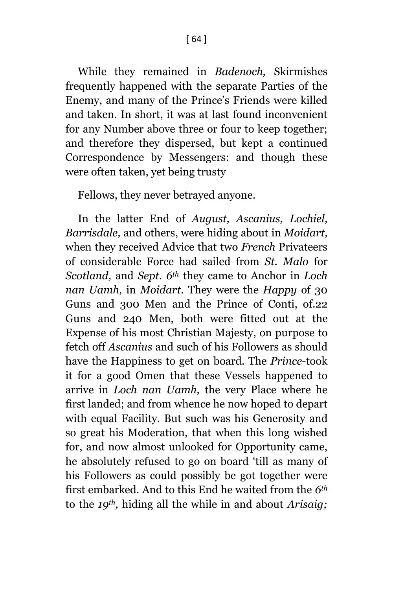[ 64 ]

While they remained in *Badenoch,* Skirmishes frequently happened with the separate Parties of the Enemy, and many of the Prince's Friends were killed and taken. In short, it was at last found inconvenient for any Number above three or four to keep together; and therefore they dispersed, but kept a continued Correspondence by Messengers: and though these were often taken, yet being trusty

Fellows, they never betrayed anyone.

In the latter End of *August, Ascanius, Lochiel, Barrisdale,* and others, were hiding about in *Moidart,*  when they received Advice that two *French* Privateers of considerable Force had sailed from *St. Malo* for *Scotland,* and *Sept. 6th* they came to Anchor in *Loch nan Uamh,* in *Moidart.* They were the *Happy* of 30 Guns and 300 Men and the Prince of Conti, of.22 Guns and 240 Men, both were fitted out at the Expense of his most Christian Majesty, on purpose to fetch off *Ascanius* and such of his Followers as should have the Happiness to get on board. The *Prince*-took it for a good Omen that these Vessels happened to arrive in *Loch nan Uamh,* the very Place where he first landed; and from whence he now hoped to depart with equal Facility. But such was his Generosity and so great his Moderation, that when this long wished for, and now almost unlooked for Opportunity came, he absolutely refused to go on board 'till as many of his Followers as could possibly be got together were first embarked. And to this End he waited from the *6th* to the *19th,* hiding all the while in and about *Arisaig;*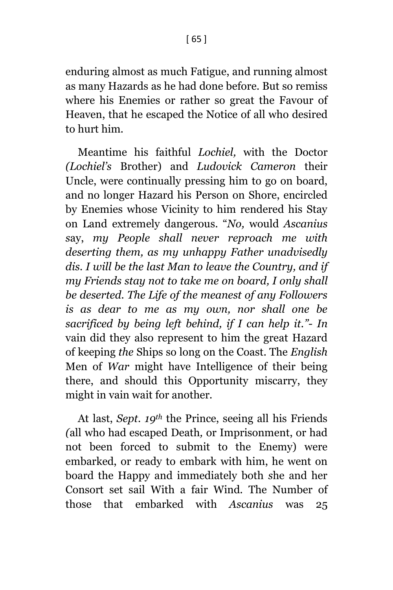enduring almost as much Fatigue, and running almost as many Hazards as he had done before. But so remiss where his Enemies or rather so great the Favour of Heaven, that he escaped the Notice of all who desired to hurt him.

Meantime his faithful *Lochiel,* with the Doctor *(Lochiel's* Brother) and *Ludovick Cameron* their Uncle, were continually pressing him to go on board, and no longer Hazard his Person on Shore, encircled by Enemies whose Vicinity to him rendered his Stay on Land extremely dangerous. "*No,* would *Ascanius s*ay, *my People shall never reproach me with deserting them, as my unhappy Father unadvisedly dis. I will be the last Man to leave the Country, and if my Friends stay not to take me on board, I only shall be deserted. The Life of the meanest of any Followers is as dear to me as my own, nor shall one be sacrificed by being left behind, if I can help it."- In*  vain did they also represent to him the great Hazard of keeping *the* Ships so long on the Coast. The *English*  Men of *War* might have Intelligence of their being there, and should this Opportunity miscarry, they might in vain wait for another*.*

At last, *Sept. 19th* the Prince, seeing all his Friends *(*all who had escaped Death*,* or Imprisonment, or had not been forced to submit to the Enemy) were embarked, or ready to embark with him, he went on board the Happy and immediately both *s*he and her Consort set sail With a fair Wind*.* The Number of those that embarked with *Ascanius* was 25